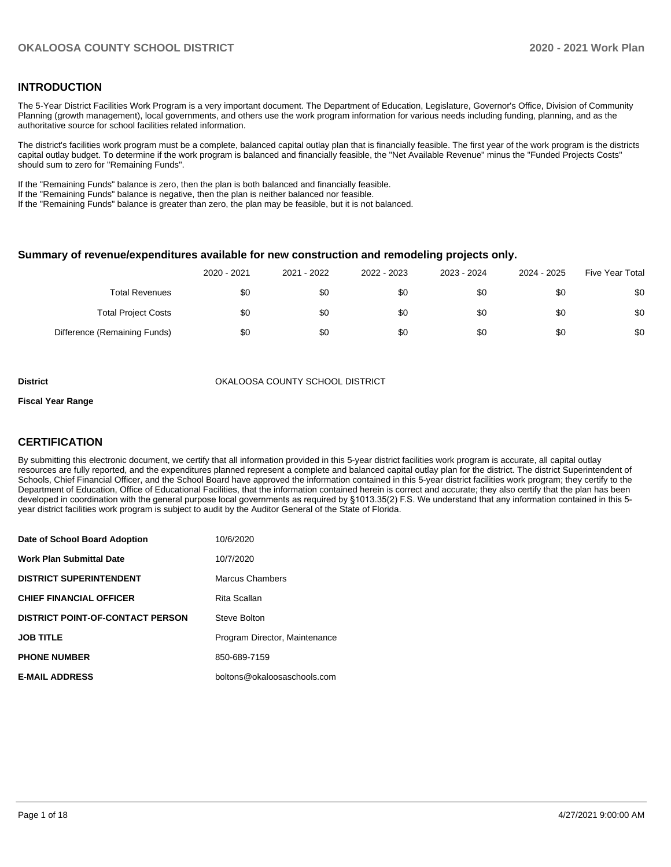# **INTRODUCTION**

The 5-Year District Facilities Work Program is a very important document. The Department of Education, Legislature, Governor's Office, Division of Community Planning (growth management), local governments, and others use the work program information for various needs including funding, planning, and as the authoritative source for school facilities related information.

The district's facilities work program must be a complete, balanced capital outlay plan that is financially feasible. The first year of the work program is the districts capital outlay budget. To determine if the work program is balanced and financially feasible, the "Net Available Revenue" minus the "Funded Projects Costs" should sum to zero for "Remaining Funds".

If the "Remaining Funds" balance is zero, then the plan is both balanced and financially feasible.

If the "Remaining Funds" balance is negative, then the plan is neither balanced nor feasible.

If the "Remaining Funds" balance is greater than zero, the plan may be feasible, but it is not balanced.

#### **Summary of revenue/expenditures available for new construction and remodeling projects only.**

|                              | 2020 - 2021 | 2021 - 2022 | 2022 - 2023 | 2023 - 2024 | 2024 - 2025 | <b>Five Year Total</b> |
|------------------------------|-------------|-------------|-------------|-------------|-------------|------------------------|
| Total Revenues               | \$0         | \$0         | \$0         | \$0         | \$0         | \$0                    |
| <b>Total Project Costs</b>   | \$0         | \$0         | \$0         | \$0         | \$0         | \$0                    |
| Difference (Remaining Funds) | \$0         | \$0         | \$0         | \$0         | \$0         | \$0                    |

**District COUNTY SCHOOL DISTRICT** OKALOOSA COUNTY SCHOOL DISTRICT

#### **Fiscal Year Range**

# **CERTIFICATION**

By submitting this electronic document, we certify that all information provided in this 5-year district facilities work program is accurate, all capital outlay resources are fully reported, and the expenditures planned represent a complete and balanced capital outlay plan for the district. The district Superintendent of Schools, Chief Financial Officer, and the School Board have approved the information contained in this 5-year district facilities work program; they certify to the Department of Education, Office of Educational Facilities, that the information contained herein is correct and accurate; they also certify that the plan has been developed in coordination with the general purpose local governments as required by §1013.35(2) F.S. We understand that any information contained in this 5 year district facilities work program is subject to audit by the Auditor General of the State of Florida.

| Date of School Board Adoption           | 10/6/2020                     |
|-----------------------------------------|-------------------------------|
| <b>Work Plan Submittal Date</b>         | 10/7/2020                     |
| <b>DISTRICT SUPERINTENDENT</b>          | Marcus Chambers               |
| <b>CHIEF FINANCIAL OFFICER</b>          | Rita Scallan                  |
| <b>DISTRICT POINT-OF-CONTACT PERSON</b> | Steve Bolton                  |
| <b>JOB TITLE</b>                        | Program Director, Maintenance |
| <b>PHONE NUMBER</b>                     | 850-689-7159                  |
| <b>E-MAIL ADDRESS</b>                   | boltons@okaloosaschools.com   |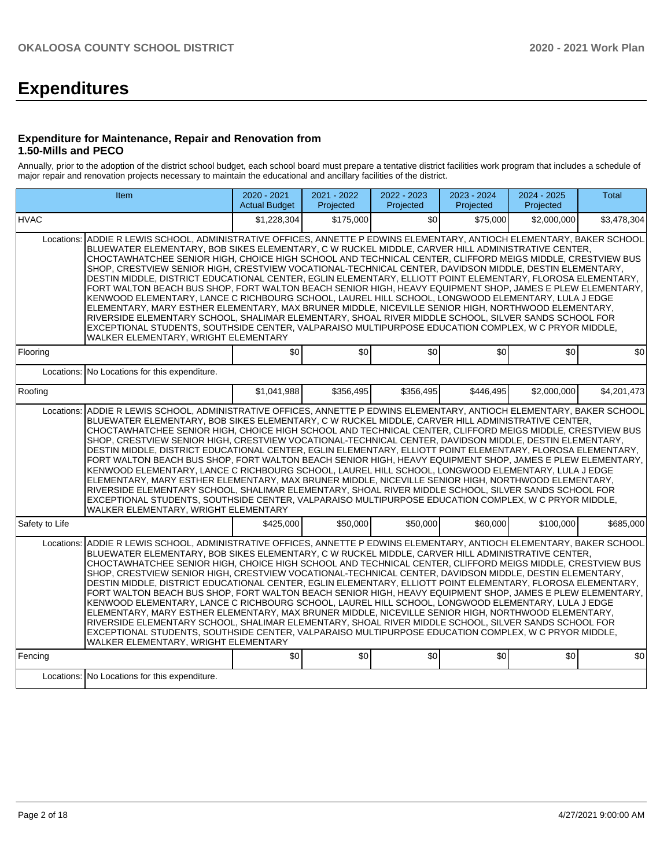# **Expenditures**

# **Expenditure for Maintenance, Repair and Renovation from 1.50-Mills and PECO**

Annually, prior to the adoption of the district school budget, each school board must prepare a tentative district facilities work program that includes a schedule of major repair and renovation projects necessary to maintain the educational and ancillary facilities of the district.

|                                                                                                                                                                                                                                                                                                                                                                                                                                                                                                                                                                                                                                                                                                                                                                                                                                                                                                                                                                                                                                                                                                                                                         | Item                                                                                                                                                                                                                                                                                                                                                                                                                                                                                                                                                                                                                                                                                                                                                                                                                                                                                                                                                                                                                                                                                                                                      | 2020 - 2021<br><b>Actual Budget</b> | 2021 - 2022<br>Projected | 2022 - 2023<br>Projected | 2023 - 2024<br>Projected | 2024 - 2025<br>Projected | <b>Total</b> |  |  |  |  |
|---------------------------------------------------------------------------------------------------------------------------------------------------------------------------------------------------------------------------------------------------------------------------------------------------------------------------------------------------------------------------------------------------------------------------------------------------------------------------------------------------------------------------------------------------------------------------------------------------------------------------------------------------------------------------------------------------------------------------------------------------------------------------------------------------------------------------------------------------------------------------------------------------------------------------------------------------------------------------------------------------------------------------------------------------------------------------------------------------------------------------------------------------------|-------------------------------------------------------------------------------------------------------------------------------------------------------------------------------------------------------------------------------------------------------------------------------------------------------------------------------------------------------------------------------------------------------------------------------------------------------------------------------------------------------------------------------------------------------------------------------------------------------------------------------------------------------------------------------------------------------------------------------------------------------------------------------------------------------------------------------------------------------------------------------------------------------------------------------------------------------------------------------------------------------------------------------------------------------------------------------------------------------------------------------------------|-------------------------------------|--------------------------|--------------------------|--------------------------|--------------------------|--------------|--|--|--|--|
| <b>HVAC</b>                                                                                                                                                                                                                                                                                                                                                                                                                                                                                                                                                                                                                                                                                                                                                                                                                                                                                                                                                                                                                                                                                                                                             |                                                                                                                                                                                                                                                                                                                                                                                                                                                                                                                                                                                                                                                                                                                                                                                                                                                                                                                                                                                                                                                                                                                                           | \$1,228,304                         | \$175,000                | \$0                      | \$75,000                 | \$2,000,000              | \$3,478,304  |  |  |  |  |
| ADDIE R LEWIS SCHOOL. ADMINISTRATIVE OFFICES. ANNETTE P EDWINS ELEMENTARY. ANTIOCH ELEMENTARY. BAKER SCHOOL<br>Locations:<br>BLUEWATER ELEMENTARY, BOB SIKES ELEMENTARY, C W RUCKEL MIDDLE, CARVER HILL ADMINISTRATIVE CENTER,<br>CHOCTAWHATCHEE SENIOR HIGH, CHOICE HIGH SCHOOL AND TECHNICAL CENTER, CLIFFORD MEIGS MIDDLE, CRESTVIEW BUS<br>SHOP, CRESTVIEW SENIOR HIGH, CRESTVIEW VOCATIONAL-TECHNICAL CENTER, DAVIDSON MIDDLE, DESTIN ELEMENTARY,<br>DESTIN MIDDLE, DISTRICT EDUCATIONAL CENTER, EGLIN ELEMENTARY, ELLIOTT POINT ELEMENTARY, FLOROSA ELEMENTARY,<br>FORT WALTON BEACH BUS SHOP, FORT WALTON BEACH SENIOR HIGH, HEAVY EQUIPMENT SHOP, JAMES E PLEW ELEMENTARY,<br>KENWOOD ELEMENTARY, LANCE C RICHBOURG SCHOOL, LAUREL HILL SCHOOL, LONGWOOD ELEMENTARY, LULA J EDGE<br>ELEMENTARY, MARY ESTHER ELEMENTARY, MAX BRUNER MIDDLE, NICEVILLE SENIOR HIGH, NORTHWOOD ELEMENTARY,<br>RIVERSIDE ELEMENTARY SCHOOL. SHALIMAR ELEMENTARY. SHOAL RIVER MIDDLE SCHOOL. SILVER SANDS SCHOOL FOR<br>EXCEPTIONAL STUDENTS, SOUTHSIDE CENTER, VALPARAISO MULTIPURPOSE EDUCATION COMPLEX, W C PRYOR MIDDLE,<br>WALKER ELEMENTARY, WRIGHT ELEMENTARY |                                                                                                                                                                                                                                                                                                                                                                                                                                                                                                                                                                                                                                                                                                                                                                                                                                                                                                                                                                                                                                                                                                                                           |                                     |                          |                          |                          |                          |              |  |  |  |  |
| Flooring                                                                                                                                                                                                                                                                                                                                                                                                                                                                                                                                                                                                                                                                                                                                                                                                                                                                                                                                                                                                                                                                                                                                                |                                                                                                                                                                                                                                                                                                                                                                                                                                                                                                                                                                                                                                                                                                                                                                                                                                                                                                                                                                                                                                                                                                                                           | \$0                                 | \$0                      | \$0                      | \$0                      | \$0                      | \$0          |  |  |  |  |
| Locations:                                                                                                                                                                                                                                                                                                                                                                                                                                                                                                                                                                                                                                                                                                                                                                                                                                                                                                                                                                                                                                                                                                                                              | No Locations for this expenditure.                                                                                                                                                                                                                                                                                                                                                                                                                                                                                                                                                                                                                                                                                                                                                                                                                                                                                                                                                                                                                                                                                                        |                                     |                          |                          |                          |                          |              |  |  |  |  |
| Roofing                                                                                                                                                                                                                                                                                                                                                                                                                                                                                                                                                                                                                                                                                                                                                                                                                                                                                                                                                                                                                                                                                                                                                 |                                                                                                                                                                                                                                                                                                                                                                                                                                                                                                                                                                                                                                                                                                                                                                                                                                                                                                                                                                                                                                                                                                                                           | \$1,041,988                         | \$356,495                | \$356,495                | \$446,495                | \$2,000,000              | \$4,201,473  |  |  |  |  |
| Locations:                                                                                                                                                                                                                                                                                                                                                                                                                                                                                                                                                                                                                                                                                                                                                                                                                                                                                                                                                                                                                                                                                                                                              | ADDIE R LEWIS SCHOOL, ADMINISTRATIVE OFFICES, ANNETTE P EDWINS ELEMENTARY, ANTIOCH ELEMENTARY, BAKER SCHOOL<br>BLUEWATER ELEMENTARY, BOB SIKES ELEMENTARY, C W RUCKEL MIDDLE, CARVER HILL ADMINISTRATIVE CENTER,<br>CHOCTAWHATCHEE SENIOR HIGH, CHOICE HIGH SCHOOL AND TECHNICAL CENTER, CLIFFORD MEIGS MIDDLE, CRESTVIEW BUS<br>SHOP, CRESTVIEW SENIOR HIGH, CRESTVIEW VOCATIONAL-TECHNICAL CENTER, DAVIDSON MIDDLE, DESTIN ELEMENTARY,<br>DESTIN MIDDLE, DISTRICT EDUCATIONAL CENTER, EGLIN ELEMENTARY, ELLIOTT POINT ELEMENTARY, FLOROSA ELEMENTARY,<br>FORT WALTON BEACH BUS SHOP. FORT WALTON BEACH SENIOR HIGH. HEAVY EQUIPMENT SHOP. JAMES E PLEW ELEMENTARY.<br>KENWOOD ELEMENTARY, LANCE C RICHBOURG SCHOOL, LAUREL HILL SCHOOL, LONGWOOD ELEMENTARY, LULA J EDGE<br>ELEMENTARY, MARY ESTHER ELEMENTARY, MAX BRUNER MIDDLE, NICEVILLE SENIOR HIGH, NORTHWOOD ELEMENTARY,<br>RIVERSIDE ELEMENTARY SCHOOL, SHALIMAR ELEMENTARY, SHOAL RIVER MIDDLE SCHOOL, SILVER SANDS SCHOOL FOR<br>EXCEPTIONAL STUDENTS, SOUTHSIDE CENTER, VALPARAISO MULTIPURPOSE EDUCATION COMPLEX, W C PRYOR MIDDLE,<br>WALKER ELEMENTARY, WRIGHT ELEMENTARY |                                     |                          |                          |                          |                          |              |  |  |  |  |
| Safety to Life                                                                                                                                                                                                                                                                                                                                                                                                                                                                                                                                                                                                                                                                                                                                                                                                                                                                                                                                                                                                                                                                                                                                          |                                                                                                                                                                                                                                                                                                                                                                                                                                                                                                                                                                                                                                                                                                                                                                                                                                                                                                                                                                                                                                                                                                                                           | \$425,000                           | \$50,000                 | \$50,000                 | \$60,000                 | \$100,000                | \$685,000    |  |  |  |  |
| Locations:                                                                                                                                                                                                                                                                                                                                                                                                                                                                                                                                                                                                                                                                                                                                                                                                                                                                                                                                                                                                                                                                                                                                              | ADDIE R LEWIS SCHOOL, ADMINISTRATIVE OFFICES, ANNETTE P EDWINS ELEMENTARY, ANTIOCH ELEMENTARY, BAKER SCHOOL<br>BLUEWATER ELEMENTARY, BOB SIKES ELEMENTARY, C W RUCKEL MIDDLE, CARVER HILL ADMINISTRATIVE CENTER,<br>CHOCTAWHATCHEE SENIOR HIGH, CHOICE HIGH SCHOOL AND TECHNICAL CENTER, CLIFFORD MEIGS MIDDLE, CRESTVIEW BUS<br>SHOP, CRESTVIEW SENIOR HIGH, CRESTVIEW VOCATIONAL-TECHNICAL CENTER, DAVIDSON MIDDLE, DESTIN ELEMENTARY,<br>DESTIN MIDDLE, DISTRICT EDUCATIONAL CENTER, EGLIN ELEMENTARY, ELLIOTT POINT ELEMENTARY, FLOROSA ELEMENTARY,<br>FORT WALTON BEACH BUS SHOP, FORT WALTON BEACH SENIOR HIGH, HEAVY EQUIPMENT SHOP, JAMES E PLEW ELEMENTARY,<br>KENWOOD ELEMENTARY, LANCE C RICHBOURG SCHOOL, LAUREL HILL SCHOOL, LONGWOOD ELEMENTARY, LULA J EDGE<br>ELEMENTARY, MARY ESTHER ELEMENTARY, MAX BRUNER MIDDLE, NICEVILLE SENIOR HIGH, NORTHWOOD ELEMENTARY,<br>RIVERSIDE ELEMENTARY SCHOOL, SHALIMAR ELEMENTARY, SHOAL RIVER MIDDLE SCHOOL, SILVER SANDS SCHOOL FOR<br>EXCEPTIONAL STUDENTS, SOUTHSIDE CENTER, VALPARAISO MULTIPURPOSE EDUCATION COMPLEX, W C PRYOR MIDDLE,<br>WALKER ELEMENTARY, WRIGHT ELEMENTARY |                                     |                          |                          |                          |                          |              |  |  |  |  |
| Fencing                                                                                                                                                                                                                                                                                                                                                                                                                                                                                                                                                                                                                                                                                                                                                                                                                                                                                                                                                                                                                                                                                                                                                 |                                                                                                                                                                                                                                                                                                                                                                                                                                                                                                                                                                                                                                                                                                                                                                                                                                                                                                                                                                                                                                                                                                                                           | \$0                                 | \$0                      | \$0                      | \$0                      | \$0                      | \$0          |  |  |  |  |
|                                                                                                                                                                                                                                                                                                                                                                                                                                                                                                                                                                                                                                                                                                                                                                                                                                                                                                                                                                                                                                                                                                                                                         | Locations: No Locations for this expenditure.                                                                                                                                                                                                                                                                                                                                                                                                                                                                                                                                                                                                                                                                                                                                                                                                                                                                                                                                                                                                                                                                                             |                                     |                          |                          |                          |                          |              |  |  |  |  |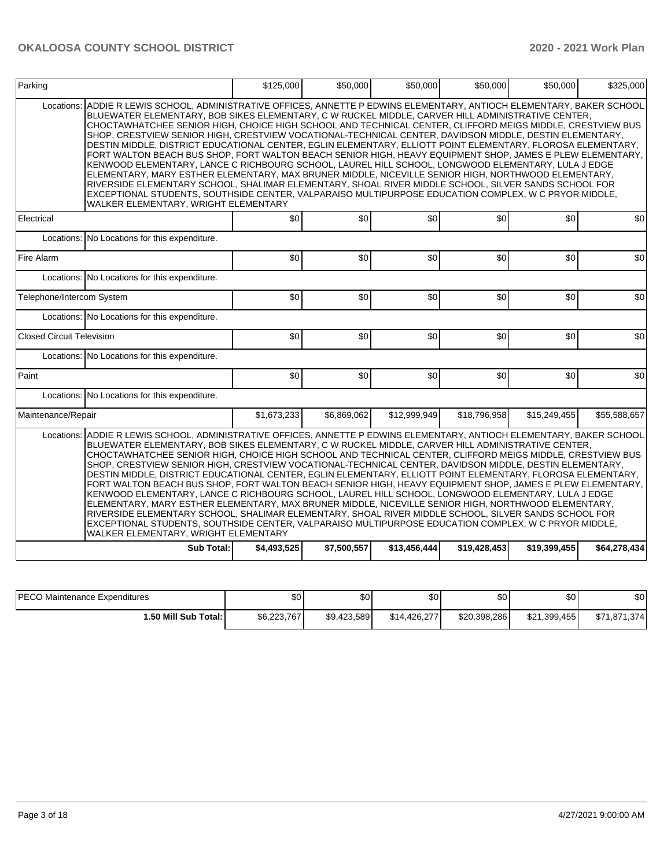| Parking                          |                                                                                                                                                                                                                                                                                                                                                                                                                                                                                                                                                                                                                                                                                                                                                                                                                                                                                                                                                                                                                                                                                                                                           | \$125,000   | \$50,000    | \$50,000     | \$50,000     | \$50,000     | \$325,000    |
|----------------------------------|-------------------------------------------------------------------------------------------------------------------------------------------------------------------------------------------------------------------------------------------------------------------------------------------------------------------------------------------------------------------------------------------------------------------------------------------------------------------------------------------------------------------------------------------------------------------------------------------------------------------------------------------------------------------------------------------------------------------------------------------------------------------------------------------------------------------------------------------------------------------------------------------------------------------------------------------------------------------------------------------------------------------------------------------------------------------------------------------------------------------------------------------|-------------|-------------|--------------|--------------|--------------|--------------|
| Locations:                       | ADDIE R LEWIS SCHOOL, ADMINISTRATIVE OFFICES, ANNETTE P EDWINS ELEMENTARY, ANTIOCH ELEMENTARY, BAKER SCHOOL<br>BLUEWATER ELEMENTARY, BOB SIKES ELEMENTARY, C W RUCKEL MIDDLE, CARVER HILL ADMINISTRATIVE CENTER,<br>CHOCTAWHATCHEE SENIOR HIGH, CHOICE HIGH SCHOOL AND TECHNICAL CENTER, CLIFFORD MEIGS MIDDLE, CRESTVIEW BUS<br>SHOP, CRESTVIEW SENIOR HIGH, CRESTVIEW VOCATIONAL-TECHNICAL CENTER, DAVIDSON MIDDLE, DESTIN ELEMENTARY,<br>DESTIN MIDDLE, DISTRICT EDUCATIONAL CENTER, EGLIN ELEMENTARY, ELLIOTT POINT ELEMENTARY, FLOROSA ELEMENTARY,<br>FORT WALTON BEACH BUS SHOP, FORT WALTON BEACH SENIOR HIGH, HEAVY EQUIPMENT SHOP, JAMES E PLEW ELEMENTARY,<br>KENWOOD ELEMENTARY. LANCE C RICHBOURG SCHOOL. LAUREL HILL SCHOOL. LONGWOOD ELEMENTARY. LULA J EDGE<br>ELEMENTARY, MARY ESTHER ELEMENTARY, MAX BRUNER MIDDLE, NICEVILLE SENIOR HIGH, NORTHWOOD ELEMENTARY,<br>RIVERSIDE ELEMENTARY SCHOOL, SHALIMAR ELEMENTARY, SHOAL RIVER MIDDLE SCHOOL, SILVER SANDS SCHOOL FOR<br>EXCEPTIONAL STUDENTS, SOUTHSIDE CENTER, VALPARAISO MULTIPURPOSE EDUCATION COMPLEX, W C PRYOR MIDDLE,<br>WALKER ELEMENTARY, WRIGHT ELEMENTARY |             |             |              |              |              |              |
| Electrical                       |                                                                                                                                                                                                                                                                                                                                                                                                                                                                                                                                                                                                                                                                                                                                                                                                                                                                                                                                                                                                                                                                                                                                           | \$0         | \$0         | \$0          | \$0          | \$0          | \$0          |
|                                  | Locations: No Locations for this expenditure.                                                                                                                                                                                                                                                                                                                                                                                                                                                                                                                                                                                                                                                                                                                                                                                                                                                                                                                                                                                                                                                                                             |             |             |              |              |              |              |
| Fire Alarm                       |                                                                                                                                                                                                                                                                                                                                                                                                                                                                                                                                                                                                                                                                                                                                                                                                                                                                                                                                                                                                                                                                                                                                           | \$0         | \$0         | \$0          | \$0          | \$0          | \$0          |
|                                  | Locations: No Locations for this expenditure.                                                                                                                                                                                                                                                                                                                                                                                                                                                                                                                                                                                                                                                                                                                                                                                                                                                                                                                                                                                                                                                                                             |             |             |              |              |              |              |
| Telephone/Intercom System        |                                                                                                                                                                                                                                                                                                                                                                                                                                                                                                                                                                                                                                                                                                                                                                                                                                                                                                                                                                                                                                                                                                                                           | \$0         | \$0         | \$0          | \$0          | \$0          | \$0          |
|                                  | Locations: No Locations for this expenditure.                                                                                                                                                                                                                                                                                                                                                                                                                                                                                                                                                                                                                                                                                                                                                                                                                                                                                                                                                                                                                                                                                             |             |             |              |              |              |              |
| <b>Closed Circuit Television</b> |                                                                                                                                                                                                                                                                                                                                                                                                                                                                                                                                                                                                                                                                                                                                                                                                                                                                                                                                                                                                                                                                                                                                           | \$0         | \$0         | \$0          | \$0          | \$0          | \$0          |
|                                  | Locations: No Locations for this expenditure.                                                                                                                                                                                                                                                                                                                                                                                                                                                                                                                                                                                                                                                                                                                                                                                                                                                                                                                                                                                                                                                                                             |             |             |              |              |              |              |
| Paint                            |                                                                                                                                                                                                                                                                                                                                                                                                                                                                                                                                                                                                                                                                                                                                                                                                                                                                                                                                                                                                                                                                                                                                           | \$0         | \$0         | \$0          | \$0          | \$0          | \$0          |
|                                  | Locations: No Locations for this expenditure.                                                                                                                                                                                                                                                                                                                                                                                                                                                                                                                                                                                                                                                                                                                                                                                                                                                                                                                                                                                                                                                                                             |             |             |              |              |              |              |
| Maintenance/Repair               |                                                                                                                                                                                                                                                                                                                                                                                                                                                                                                                                                                                                                                                                                                                                                                                                                                                                                                                                                                                                                                                                                                                                           | \$1,673,233 | \$6,869,062 | \$12,999,949 | \$18,796,958 | \$15,249,455 | \$55,588,657 |
| Locations:                       | ADDIE R LEWIS SCHOOL, ADMINISTRATIVE OFFICES, ANNETTE P EDWINS ELEMENTARY, ANTIOCH ELEMENTARY, BAKER SCHOOL<br>BLUEWATER ELEMENTARY, BOB SIKES ELEMENTARY, C W RUCKEL MIDDLE, CARVER HILL ADMINISTRATIVE CENTER,<br>CHOCTAWHATCHEE SENIOR HIGH, CHOICE HIGH SCHOOL AND TECHNICAL CENTER, CLIFFORD MEIGS MIDDLE, CRESTVIEW BUS<br>SHOP, CRESTVIEW SENIOR HIGH, CRESTVIEW VOCATIONAL-TECHNICAL CENTER, DAVIDSON MIDDLE, DESTIN ELEMENTARY,<br>DESTIN MIDDLE. DISTRICT EDUCATIONAL CENTER. EGLIN ELEMENTARY. ELLIOTT POINT ELEMENTARY. FLOROSA ELEMENTARY.<br>FORT WALTON BEACH BUS SHOP, FORT WALTON BEACH SENIOR HIGH, HEAVY EQUIPMENT SHOP, JAMES E PLEW ELEMENTARY,<br>KENWOOD ELEMENTARY, LANCE C RICHBOURG SCHOOL, LAUREL HILL SCHOOL, LONGWOOD ELEMENTARY, LULA J EDGE<br>ELEMENTARY, MARY ESTHER ELEMENTARY, MAX BRUNER MIDDLE, NICEVILLE SENIOR HIGH, NORTHWOOD ELEMENTARY,<br>RIVERSIDE ELEMENTARY SCHOOL, SHALIMAR ELEMENTARY, SHOAL RIVER MIDDLE SCHOOL, SILVER SANDS SCHOOL FOR<br>EXCEPTIONAL STUDENTS, SOUTHSIDE CENTER, VALPARAISO MULTIPURPOSE EDUCATION COMPLEX, W C PRYOR MIDDLE,<br>WALKER ELEMENTARY, WRIGHT ELEMENTARY |             |             |              |              |              |              |
|                                  | Sub Total:                                                                                                                                                                                                                                                                                                                                                                                                                                                                                                                                                                                                                                                                                                                                                                                                                                                                                                                                                                                                                                                                                                                                | \$4,493,525 | \$7,500,557 | \$13,456,444 | \$19,428,453 | \$19,399,455 | \$64,278,434 |

| <b>IPECO Maintenance Expenditures</b> | m o<br>JU.  | ¢∩<br>ΦU    | \$0          | \$0          | \$0 <sub>1</sub> | \$0               |
|---------------------------------------|-------------|-------------|--------------|--------------|------------------|-------------------|
| 1.50 Mill Sub Total: I                | \$6,223,767 | \$9,423,589 | \$14,426,277 | \$20,398,286 | \$21,399,455     | \$71,871<br>1.374 |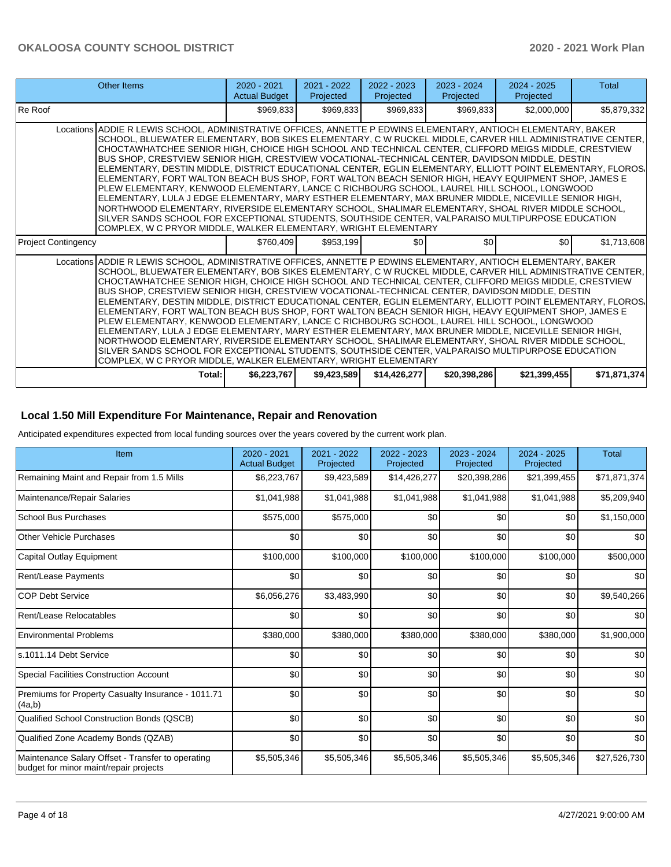| Other Items                                                                                                                                                                                                                                                                                                                                                                                                                                                                                                                                                                                                                                                                                                                                                                                                                                                                                                                                                                                                                                                                                                                                          | $2020 - 2021$<br><b>Actual Budget</b> | $2021 - 2022$<br>Projected | 2022 - 2023<br>Projected | $2023 - 2024$<br>Projected | $2024 - 2025$<br>Projected | Total        |  |  |
|------------------------------------------------------------------------------------------------------------------------------------------------------------------------------------------------------------------------------------------------------------------------------------------------------------------------------------------------------------------------------------------------------------------------------------------------------------------------------------------------------------------------------------------------------------------------------------------------------------------------------------------------------------------------------------------------------------------------------------------------------------------------------------------------------------------------------------------------------------------------------------------------------------------------------------------------------------------------------------------------------------------------------------------------------------------------------------------------------------------------------------------------------|---------------------------------------|----------------------------|--------------------------|----------------------------|----------------------------|--------------|--|--|
| Re Roof                                                                                                                                                                                                                                                                                                                                                                                                                                                                                                                                                                                                                                                                                                                                                                                                                                                                                                                                                                                                                                                                                                                                              | \$969,833                             | \$969,833                  | \$969,833                | \$969,833                  | \$2,000,000                | \$5,879,332  |  |  |
| Locations ADDIE R LEWIS SCHOOL, ADMINISTRATIVE OFFICES, ANNETTE P EDWINS ELEMENTARY, ANTIOCH ELEMENTARY, BAKER<br>SCHOOL, BLUEWATER ELEMENTARY, BOB SIKES ELEMENTARY, C W RUCKEL MIDDLE, CARVER HILL ADMINISTRATIVE CENTER,<br>CHOCTAWHATCHEE SENIOR HIGH, CHOICE HIGH SCHOOL AND TECHNICAL CENTER, CLIFFORD MEIGS MIDDLE, CRESTVIEW<br>BUS SHOP, CRESTVIEW SENIOR HIGH, CRESTVIEW VOCATIONAL-TECHNICAL CENTER, DAVIDSON MIDDLE, DESTIN<br>ELEMENTARY, DESTIN MIDDLE, DISTRICT EDUCATIONAL CENTER, EGLIN ELEMENTARY, ELLIOTT POINT ELEMENTARY, FLOROS.<br>ELEMENTARY, FORT WALTON BEACH BUS SHOP, FORT WALTON BEACH SENIOR HIGH, HEAVY EQUIPMENT SHOP, JAMES E<br>PLEW ELEMENTARY, KENWOOD ELEMENTARY, LANCE C RICHBOURG SCHOOL, LAUREL HILL SCHOOL, LONGWOOD<br>ELEMENTARY, LULA J EDGE ELEMENTARY, MARY ESTHER ELEMENTARY, MAX BRUNER MIDDLE, NICEVILLE SENIOR HIGH,<br>NORTHWOOD ELEMENTARY, RIVERSIDE ELEMENTARY SCHOOL, SHALIMAR ELEMENTARY, SHOAL RIVER MIDDLE SCHOOL,<br>SILVER SANDS SCHOOL FOR EXCEPTIONAL STUDENTS, SOUTHSIDE CENTER, VALPARAISO MULTIPURPOSE EDUCATION<br>COMPLEX. W C PRYOR MIDDLE, WALKER ELEMENTARY, WRIGHT ELEMENTARY |                                       |                            |                          |                            |                            |              |  |  |
| <b>Project Contingency</b>                                                                                                                                                                                                                                                                                                                                                                                                                                                                                                                                                                                                                                                                                                                                                                                                                                                                                                                                                                                                                                                                                                                           | \$760.409                             | \$953,199                  | \$0                      | \$0                        | \$0 <sub>1</sub>           | \$1,713,608  |  |  |
| Locations ADDIE R LEWIS SCHOOL, ADMINISTRATIVE OFFICES, ANNETTE P EDWINS ELEMENTARY, ANTIOCH ELEMENTARY, BAKER<br>SCHOOL, BLUEWATER ELEMENTARY, BOB SIKES ELEMENTARY, C W RUCKEL MIDDLE, CARVER HILL ADMINISTRATIVE CENTER,<br>CHOCTAWHATCHEE SENIOR HIGH, CHOICE HIGH SCHOOL AND TECHNICAL CENTER, CLIFFORD MEIGS MIDDLE, CRESTVIEW<br>BUS SHOP, CRESTVIEW SENIOR HIGH, CRESTVIEW VOCATIONAL-TECHNICAL CENTER, DAVIDSON MIDDLE, DESTIN<br>ELEMENTARY, DESTIN MIDDLE, DISTRICT EDUCATIONAL CENTER, EGLIN ELEMENTARY, ELLIOTT POINT ELEMENTARY, FLOROS,<br>ELEMENTARY, FORT WALTON BEACH BUS SHOP, FORT WALTON BEACH SENIOR HIGH, HEAVY EQUIPMENT SHOP, JAMES E<br>PLEW ELEMENTARY, KENWOOD ELEMENTARY, LANCE C RICHBOURG SCHOOL, LAUREL HILL SCHOOL, LONGWOOD<br>ELEMENTARY, LULA J EDGE ELEMENTARY, MARY ESTHER ELEMENTARY, MAX BRUNER MIDDLE, NICEVILLE SENIOR HIGH,<br>NORTHWOOD ELEMENTARY, RIVERSIDE ELEMENTARY SCHOOL, SHALIMAR ELEMENTARY, SHOAL RIVER MIDDLE SCHOOL,<br>SILVER SANDS SCHOOL FOR EXCEPTIONAL STUDENTS, SOUTHSIDE CENTER, VALPARAISO MULTIPURPOSE EDUCATION<br>COMPLEX, W C PRYOR MIDDLE, WALKER ELEMENTARY, WRIGHT ELEMENTARY |                                       |                            |                          |                            |                            |              |  |  |
| Total:                                                                                                                                                                                                                                                                                                                                                                                                                                                                                                                                                                                                                                                                                                                                                                                                                                                                                                                                                                                                                                                                                                                                               | \$6,223,767                           | \$9,423,589                | \$14,426,277             | \$20,398,286               | \$21,399,455               | \$71,871,374 |  |  |

# **Local 1.50 Mill Expenditure For Maintenance, Repair and Renovation**

Anticipated expenditures expected from local funding sources over the years covered by the current work plan.

| Item                                                                                        | 2020 - 2021<br><b>Actual Budget</b> | 2021 - 2022<br>Projected | 2022 - 2023<br>Projected | 2023 - 2024<br>Projected | $2024 - 2025$<br>Projected | <b>Total</b> |
|---------------------------------------------------------------------------------------------|-------------------------------------|--------------------------|--------------------------|--------------------------|----------------------------|--------------|
| Remaining Maint and Repair from 1.5 Mills                                                   | \$6,223,767                         | \$9,423,589              | \$14,426,277             | \$20,398,286             | \$21,399,455               | \$71,871,374 |
| Maintenance/Repair Salaries                                                                 | \$1,041,988                         | \$1,041,988              | \$1,041,988              | \$1,041,988              | \$1,041,988                | \$5,209,940  |
| <b>School Bus Purchases</b>                                                                 | \$575,000                           | \$575,000                | \$0                      | \$0                      | \$0                        | \$1,150,000  |
| <b>Other Vehicle Purchases</b>                                                              | \$0                                 | \$0                      | \$0                      | \$0                      | \$0                        | \$0          |
| Capital Outlay Equipment                                                                    | \$100,000                           | \$100,000                | \$100,000                | \$100,000                | \$100,000                  | \$500,000    |
| <b>Rent/Lease Payments</b>                                                                  | \$0                                 | \$0                      | \$0                      | \$0                      | \$0                        | \$0          |
| <b>COP Debt Service</b>                                                                     | \$6,056,276                         | \$3,483,990              | \$0                      | \$0                      | \$0                        | \$9,540,266  |
| Rent/Lease Relocatables                                                                     | \$0                                 | \$0                      | \$0                      | \$0                      | \$0                        | \$0          |
| <b>Environmental Problems</b>                                                               | \$380,000                           | \$380,000                | \$380,000                | \$380,000                | \$380,000                  | \$1,900,000  |
| s.1011.14 Debt Service                                                                      | \$0                                 | \$0                      | \$0                      | \$0                      | \$0                        | \$0          |
| <b>Special Facilities Construction Account</b>                                              | \$0                                 | \$0                      | \$0                      | \$0                      | \$0                        | \$0          |
| Premiums for Property Casualty Insurance - 1011.71<br>(4a,b)                                | \$0                                 | \$0                      | \$0                      | \$0                      | \$0                        | \$0          |
| Qualified School Construction Bonds (QSCB)                                                  | \$0                                 | \$0                      | \$0                      | \$0                      | \$0                        | \$0          |
| Qualified Zone Academy Bonds (QZAB)                                                         | \$0                                 | \$0                      | \$0                      | \$0                      | \$0                        | \$0          |
| Maintenance Salary Offset - Transfer to operating<br>budget for minor maint/repair projects | \$5,505,346                         | \$5,505,346              | \$5,505,346              | \$5,505,346              | \$5,505,346                | \$27,526,730 |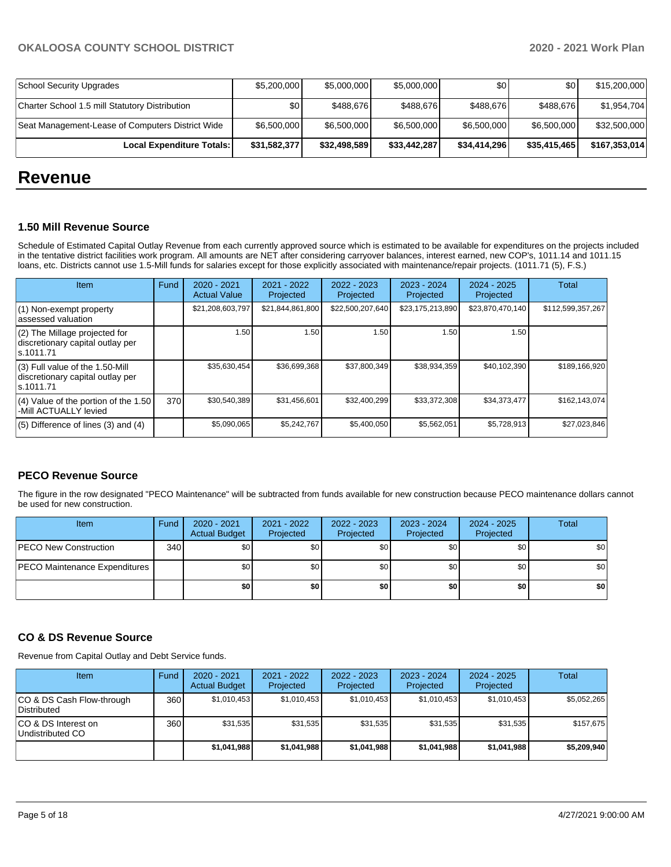| Local Expenditure Totals:                        | \$31,582,377 | \$32,498,589 | \$33,442,287 | \$34,414,296     | \$35.415.465     | \$167,353,014 |
|--------------------------------------------------|--------------|--------------|--------------|------------------|------------------|---------------|
| Seat Management-Lease of Computers District Wide | \$6,500,000  | \$6,500,000  | \$6,500,000  | \$6,500,000      | \$6,500,000      | \$32,500,000  |
| Charter School 1.5 mill Statutory Distribution   | \$0          | \$488.676    | \$488.676    | \$488.676        | \$488.676        | \$1,954,704   |
| School Security Upgrades                         | \$5,200,000  | \$5,000,000  | \$5,000,000  | \$0 <sub>1</sub> | \$0 <sub>1</sub> | \$15,200,000  |

# **Revenue**

#### **1.50 Mill Revenue Source**

Schedule of Estimated Capital Outlay Revenue from each currently approved source which is estimated to be available for expenditures on the projects included in the tentative district facilities work program. All amounts are NET after considering carryover balances, interest earned, new COP's, 1011.14 and 1011.15 loans, etc. Districts cannot use 1.5-Mill funds for salaries except for those explicitly associated with maintenance/repair projects. (1011.71 (5), F.S.)

| Item                                                                                | Fund | $2020 - 2021$<br><b>Actual Value</b> | $2021 - 2022$<br>Projected | $2022 - 2023$<br>Projected | $2023 - 2024$<br>Projected | $2024 - 2025$<br>Projected | Total             |
|-------------------------------------------------------------------------------------|------|--------------------------------------|----------------------------|----------------------------|----------------------------|----------------------------|-------------------|
| (1) Non-exempt property<br>lassessed valuation                                      |      | \$21,208,603,797                     | \$21,844,861,800           | \$22,500,207,640           | \$23,175,213,890           | \$23,870,470,140           | \$112,599,357,267 |
| $(2)$ The Millage projected for<br>discretionary capital outlay per<br>ls.1011.71   |      | 1.50                                 | 1.50                       | 1.50                       | 1.50                       | 1.50                       |                   |
| $(3)$ Full value of the 1.50-Mill<br>discretionary capital outlay per<br>ls.1011.71 |      | \$35,630,454                         | \$36,699,368               | \$37,800,349               | \$38,934,359               | \$40,102,390               | \$189,166,920     |
| $(4)$ Value of the portion of the 1.50<br>-Mill ACTUALLY levied                     | 370  | \$30,540,389                         | \$31,456,601               | \$32,400,299               | \$33,372,308               | \$34,373,477               | \$162,143,074     |
| $(5)$ Difference of lines $(3)$ and $(4)$                                           |      | \$5,090,065                          | \$5,242,767                | \$5,400,050                | \$5,562,051                | \$5,728,913                | \$27,023,846      |

# **PECO Revenue Source**

The figure in the row designated "PECO Maintenance" will be subtracted from funds available for new construction because PECO maintenance dollars cannot be used for new construction.

| <b>Item</b>                   | Fund | 2020 - 2021<br><b>Actual Budget</b> | 2021 - 2022<br>Projected | 2022 - 2023<br>Projected | 2023 - 2024<br>Projected | 2024 - 2025<br>Projected | <b>Total</b> |
|-------------------------------|------|-------------------------------------|--------------------------|--------------------------|--------------------------|--------------------------|--------------|
| <b>PECO New Construction</b>  | 340  | \$0                                 | \$0                      | \$0                      | \$0                      | \$0                      | \$0          |
| PECO Maintenance Expenditures |      | \$0                                 | \$0                      | \$0                      | \$0                      | \$0                      | \$0          |
|                               |      | \$0                                 | \$0                      | \$0                      | \$0                      | \$0                      | \$0          |

### **CO & DS Revenue Source**

Revenue from Capital Outlay and Debt Service funds.

| Item                                      | Fund | $2020 - 2021$<br><b>Actual Budget</b> | $2021 - 2022$<br>Projected | $2022 - 2023$<br>Projected | $2023 - 2024$<br>Projected | $2024 - 2025$<br>Projected | Total       |
|-------------------------------------------|------|---------------------------------------|----------------------------|----------------------------|----------------------------|----------------------------|-------------|
| ICO & DS Cash Flow-through<br>Distributed | 360  | \$1,010,453                           | \$1,010,453                | \$1,010,453                | \$1,010,453                | \$1,010,453                | \$5,052,265 |
| ICO & DS Interest on<br>Undistributed CO  | 360  | \$31,535                              | \$31,535                   | \$31.535                   | \$31,535                   | \$31,535                   | \$157,675   |
|                                           |      | \$1,041,988                           | \$1,041,988                | \$1,041,988                | \$1,041,988                | \$1,041,988                | \$5,209,940 |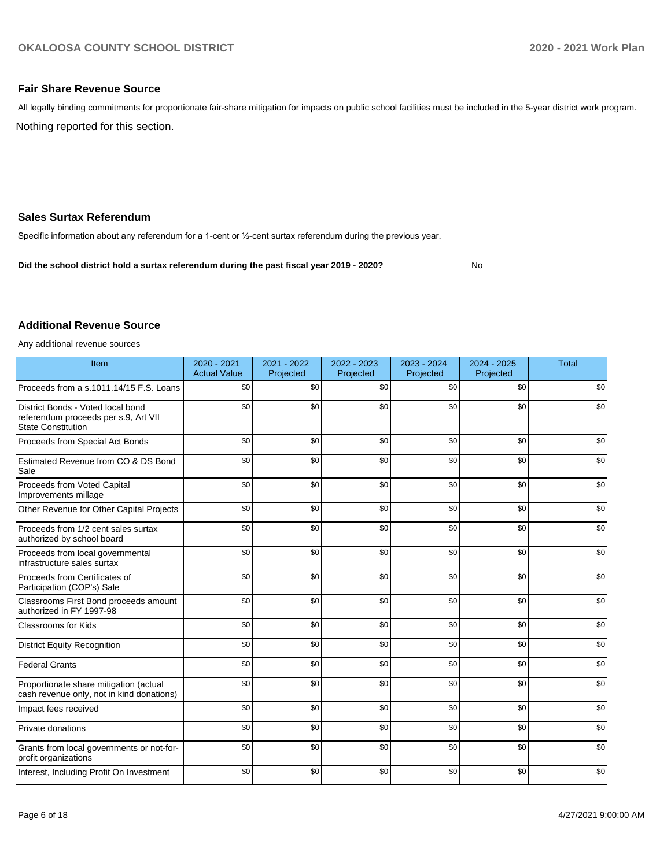No

## **Fair Share Revenue Source**

Nothing reported for this section. All legally binding commitments for proportionate fair-share mitigation for impacts on public school facilities must be included in the 5-year district work program.

# **Sales Surtax Referendum**

Specific information about any referendum for a 1-cent or ½-cent surtax referendum during the previous year.

**Did the school district hold a surtax referendum during the past fiscal year 2019 - 2020?**

# **Additional Revenue Source**

Any additional revenue sources

| Item                                                                                                   | $2020 - 2021$<br><b>Actual Value</b> | 2021 - 2022<br>Projected | 2022 - 2023<br>Projected | $2023 - 2024$<br>Projected | $2024 - 2025$<br>Projected | <b>Total</b> |
|--------------------------------------------------------------------------------------------------------|--------------------------------------|--------------------------|--------------------------|----------------------------|----------------------------|--------------|
| Proceeds from a s.1011.14/15 F.S. Loans                                                                | \$0                                  | \$0                      | \$0                      | \$0                        | \$0                        | \$0          |
| District Bonds - Voted local bond<br>referendum proceeds per s.9, Art VII<br><b>State Constitution</b> | \$0                                  | \$0                      | \$0                      | \$0                        | \$0                        | \$0          |
| Proceeds from Special Act Bonds                                                                        | \$0                                  | \$0                      | \$0                      | \$0                        | \$0                        | \$0          |
| Estimated Revenue from CO & DS Bond<br>Sale                                                            | \$0                                  | \$0                      | \$0                      | \$0                        | \$0                        | \$0          |
| Proceeds from Voted Capital<br>Improvements millage                                                    | \$0                                  | \$0                      | \$0                      | \$0                        | \$0                        | \$0          |
| Other Revenue for Other Capital Projects                                                               | \$0                                  | \$0                      | \$0                      | \$0                        | \$0                        | \$0          |
| Proceeds from 1/2 cent sales surtax<br>authorized by school board                                      | \$0                                  | \$0                      | \$0                      | \$0                        | \$0                        | \$0          |
| Proceeds from local governmental<br>infrastructure sales surtax                                        | \$0                                  | \$0                      | \$0                      | \$0                        | \$0                        | \$0          |
| Proceeds from Certificates of<br>Participation (COP's) Sale                                            | \$0                                  | \$0                      | \$0                      | \$0                        | \$0                        | \$0          |
| Classrooms First Bond proceeds amount<br>authorized in FY 1997-98                                      | \$0                                  | \$0                      | \$0                      | \$0                        | \$0                        | \$0          |
| <b>Classrooms for Kids</b>                                                                             | \$0                                  | \$0                      | \$0                      | \$0                        | \$0                        | \$0          |
| <b>District Equity Recognition</b>                                                                     | \$0                                  | \$0                      | \$0                      | \$0                        | \$0                        | \$0          |
| <b>Federal Grants</b>                                                                                  | \$0                                  | \$0                      | \$0                      | \$0                        | \$0                        | \$0          |
| Proportionate share mitigation (actual<br>cash revenue only, not in kind donations)                    | \$0                                  | \$0                      | \$0                      | \$0                        | \$0                        | \$0          |
| Impact fees received                                                                                   | \$0                                  | \$0                      | \$0                      | \$0                        | \$0                        | \$0          |
| Private donations                                                                                      | \$0                                  | \$0                      | \$0                      | \$0                        | \$0                        | \$0          |
| Grants from local governments or not-for-<br>profit organizations                                      | \$0                                  | \$0                      | \$0                      | \$0                        | \$0                        | \$0          |
| Interest, Including Profit On Investment                                                               | \$0                                  | \$0                      | \$0                      | \$0                        | \$0                        | \$0          |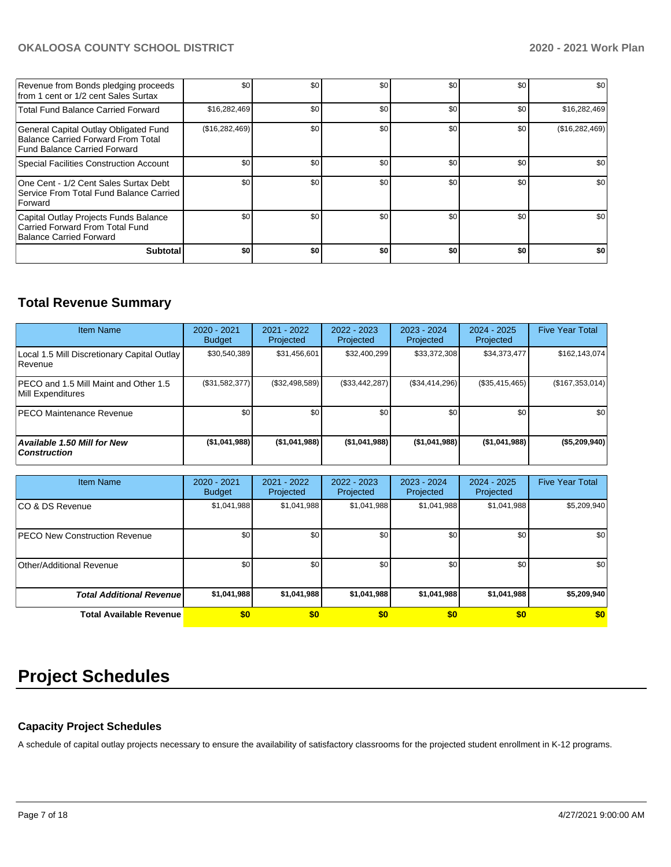| Revenue from Bonds pledging proceeds<br>from 1 cent or 1/2 cent Sales Surtax                                       | \$0              | \$0 | \$0 | \$0 | \$0 | \$0            |
|--------------------------------------------------------------------------------------------------------------------|------------------|-----|-----|-----|-----|----------------|
| <b>Total Fund Balance Carried Forward</b>                                                                          | \$16,282,469     | \$0 | \$0 | \$0 | \$0 | \$16,282,469   |
| General Capital Outlay Obligated Fund<br><b>Balance Carried Forward From Total</b><br>Fund Balance Carried Forward | (\$16,282,469)   | \$0 | \$0 | \$0 | \$0 | (\$16,282,469) |
| Special Facilities Construction Account                                                                            | \$0              | \$0 | \$0 | \$0 | \$0 | \$0            |
| One Cent - 1/2 Cent Sales Surtax Debt<br>Service From Total Fund Balance Carried<br>Forward                        | \$0 <sub>1</sub> | \$0 | \$0 | \$0 | \$0 | \$0            |
| Capital Outlay Projects Funds Balance<br>Carried Forward From Total Fund<br>Balance Carried Forward                | \$0 <sub>1</sub> | \$0 | \$0 | \$0 | \$0 | \$0            |
| <b>Subtotal</b>                                                                                                    | \$O              | \$0 | \$0 | \$0 | \$0 | \$0            |

# **Total Revenue Summary**

| <b>Item Name</b>                                            | $2020 - 2021$<br><b>Budget</b> | 2021 - 2022<br>Projected | 2022 - 2023<br>Projected | $2023 - 2024$<br>Projected | 2024 - 2025<br>Projected | <b>Five Year Total</b> |
|-------------------------------------------------------------|--------------------------------|--------------------------|--------------------------|----------------------------|--------------------------|------------------------|
| Local 1.5 Mill Discretionary Capital Outlay<br>l Revenue    | \$30.540.389                   | \$31,456,601             | \$32,400,299             | \$33,372,308               | \$34,373,477             | \$162, 143, 074]       |
| IPECO and 1.5 Mill Maint and Other 1.5<br>Mill Expenditures | (\$31,582,377)                 | (\$32,498,589)           | (\$33,442,287)           | (S34, 414, 296)            | (\$35,415,465)           | (\$167,353,014)        |
| <b>IPECO Maintenance Revenue</b>                            | \$0                            | \$0 <sub>1</sub>         | \$0                      | \$0                        | \$0                      | \$0                    |
| Available 1.50 Mill for New<br><b>Construction</b>          | (\$1,041,988)                  | (\$1,041,988)            | (\$1,041,988)            | (\$1,041,988)              | (\$1,041,988)            | $($ \$5,209,940) $ $   |

| <b>Item Name</b>                      | 2020 - 2021<br><b>Budget</b> | 2021 - 2022<br>Projected | 2022 - 2023<br>Projected | 2023 - 2024<br>Projected | 2024 - 2025<br>Projected | <b>Five Year Total</b> |
|---------------------------------------|------------------------------|--------------------------|--------------------------|--------------------------|--------------------------|------------------------|
| ICO & DS Revenue                      | \$1,041,988                  | \$1,041,988              | \$1,041,988              | \$1,041,988              | \$1,041,988              | \$5,209,940            |
| <b>IPECO New Construction Revenue</b> | \$0                          | \$0                      | \$0                      | \$0                      | \$0                      | \$0                    |
| Other/Additional Revenue              | \$0                          | \$0                      | \$0                      | \$0                      | \$0                      | \$0                    |
| <b>Total Additional Revenuel</b>      | \$1,041,988                  | \$1,041,988              | \$1,041,988              | \$1,041,988              | \$1,041,988              | \$5,209,940            |
| <b>Total Available Revenue</b>        | \$0                          | \$0                      | \$0                      | \$0                      | \$0                      | \$0                    |

# **Project Schedules**

# **Capacity Project Schedules**

A schedule of capital outlay projects necessary to ensure the availability of satisfactory classrooms for the projected student enrollment in K-12 programs.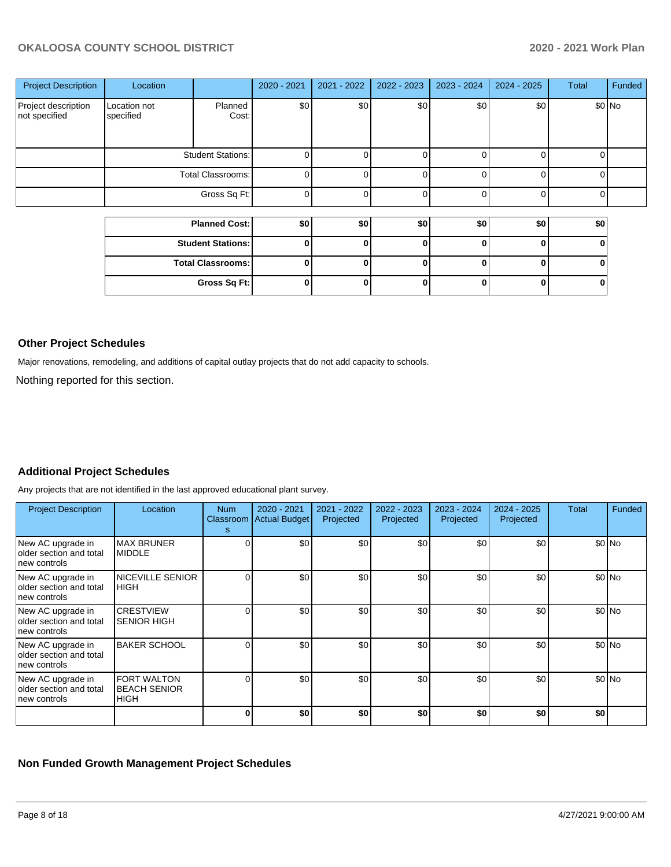| <b>Project Description</b>           | Location                  |                          | 2020 - 2021 | 2021 - 2022 | 2022 - 2023 | 2023 - 2024  | 2024 - 2025 | Total | Funded |
|--------------------------------------|---------------------------|--------------------------|-------------|-------------|-------------|--------------|-------------|-------|--------|
| Project description<br>not specified | Location not<br>specified | Planned<br>Cost:         | \$0         | \$0         | \$0         | \$0          | \$0         |       | \$0 No |
|                                      |                           | <b>Student Stations:</b> |             |             |             |              |             |       |        |
|                                      |                           | Total Classrooms:        | C           |             | 0           | ∩            |             | 0     |        |
|                                      |                           | Gross Sq Ft:             | $\Omega$    |             | 0           | $\Omega$     |             | 0     |        |
|                                      |                           | <b>Planned Cost:</b>     | \$0         | \$0         | \$0         | \$0          | \$0         | \$0   |        |
|                                      |                           | <b>Student Stations:</b> | 0           |             | 0           | <sup>0</sup> | ŋ           | 0     |        |
|                                      |                           | <b>Total Classrooms:</b> | 0           |             | 0           | 0            |             | 0     |        |
|                                      |                           | Gross Sq Ft:             | O           |             | 0           | U            | ŋ           | 0     |        |

### **Other Project Schedules**

Major renovations, remodeling, and additions of capital outlay projects that do not add capacity to schools.

Nothing reported for this section.

# **Additional Project Schedules**

Any projects that are not identified in the last approved educational plant survey.

| <b>Project Description</b>                                     | Location                                                 | Num<br>Classroom<br>s | 2020 - 2021<br><b>Actual Budget</b> | 2021 - 2022<br>Projected | 2022 - 2023<br>Projected | 2023 - 2024<br>Projected | $2024 - 2025$<br>Projected | Total | Funded |
|----------------------------------------------------------------|----------------------------------------------------------|-----------------------|-------------------------------------|--------------------------|--------------------------|--------------------------|----------------------------|-------|--------|
| New AC upgrade in<br>lolder section and total<br>new controls  | <b>MAX BRUNER</b><br><b>MIDDLE</b>                       |                       | \$0                                 | \$0 <sub>1</sub>         | \$0                      | \$0                      | \$0                        |       | \$0 No |
| New AC upgrade in<br>older section and total<br>new controls   | <b>NICEVILLE SENIOR</b><br><b>IHIGH</b>                  |                       | \$0                                 | \$0                      | \$0                      | \$0                      | \$0                        |       | \$0 No |
| New AC upgrade in<br>lolder section and total<br>Inew controls | <b>CRESTVIEW</b><br><b>SENIOR HIGH</b>                   |                       | \$0                                 | \$0                      | \$0                      | \$0                      | \$0                        |       | \$0 No |
| New AC upgrade in<br>older section and total<br>Inew controls  | <b>BAKER SCHOOL</b>                                      |                       | \$0                                 | \$0                      | \$0                      | \$0                      | \$0                        |       | \$0 No |
| New AC upgrade in<br>older section and total<br>Inew controls  | <b>FORT WALTON</b><br><b>BEACH SENIOR</b><br><b>HIGH</b> |                       | \$0                                 | \$0                      | \$0                      | \$0                      | \$0                        |       | \$0 No |
|                                                                |                                                          |                       | \$0                                 | \$0                      | \$0                      | \$0                      | \$0                        | \$0   |        |

## **Non Funded Growth Management Project Schedules**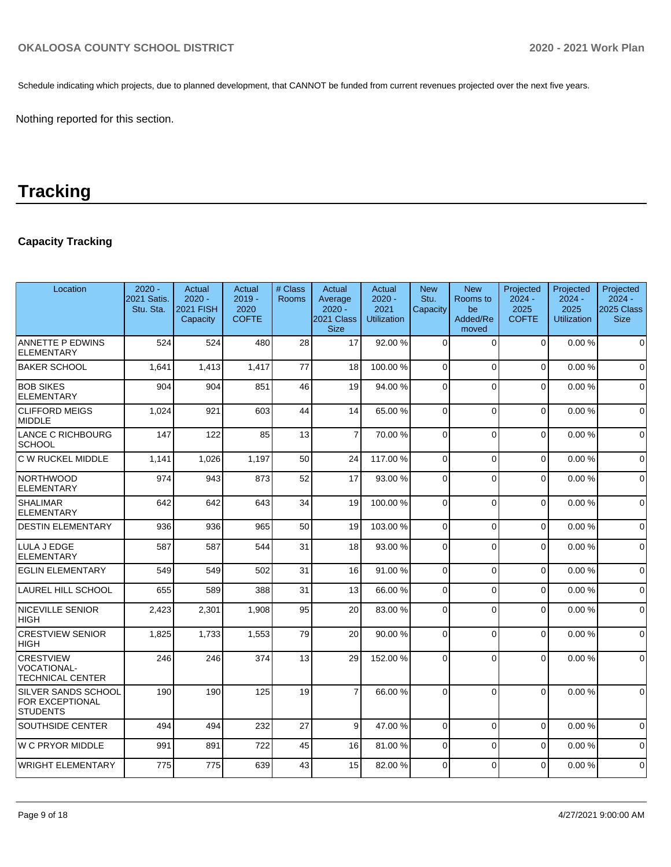Schedule indicating which projects, due to planned development, that CANNOT be funded from current revenues projected over the next five years.

Nothing reported for this section.

# **Tracking**

# **Capacity Tracking**

| Location                                                          | $2020 -$<br>2021 Satis.<br>Stu. Sta. | Actual<br>$2020 -$<br><b>2021 FISH</b><br>Capacity | Actual<br>$2019 -$<br>2020<br><b>COFTE</b> | # Class<br><b>Rooms</b> | Actual<br>Average<br>$2020 -$<br>2021 Class<br><b>Size</b> | Actual<br>$2020 -$<br>2021<br><b>Utilization</b> | <b>New</b><br>Stu.<br>Capacity | <b>New</b><br>Rooms to<br>be<br>Added/Re<br>moved | Projected<br>$2024 -$<br>2025<br><b>COFTE</b> | Projected<br>$2024 -$<br>2025<br><b>Utilization</b> | Projected<br>$2024 -$<br>2025 Class<br><b>Size</b> |
|-------------------------------------------------------------------|--------------------------------------|----------------------------------------------------|--------------------------------------------|-------------------------|------------------------------------------------------------|--------------------------------------------------|--------------------------------|---------------------------------------------------|-----------------------------------------------|-----------------------------------------------------|----------------------------------------------------|
| <b>ANNETTE P EDWINS</b><br><b>ELEMENTARY</b>                      | 524                                  | 524                                                | 480                                        | 28                      | 17                                                         | 92.00 %                                          | $\Omega$                       | $\Omega$                                          | $\mathbf 0$                                   | 0.00%                                               | $\mathbf 0$                                        |
| <b>BAKER SCHOOL</b>                                               | 1,641                                | 1,413                                              | 1,417                                      | 77                      | 18                                                         | 100.00%                                          | $\Omega$                       | $\Omega$                                          | $\Omega$                                      | 0.00%                                               | $\Omega$                                           |
| <b>BOB SIKES</b><br><b>ELEMENTARY</b>                             | 904                                  | 904                                                | 851                                        | 46                      | 19                                                         | 94.00 %                                          | $\Omega$                       | $\Omega$                                          | $\Omega$                                      | 0.00%                                               | $\Omega$                                           |
| <b>CLIFFORD MEIGS</b><br><b>MIDDLE</b>                            | 1,024                                | 921                                                | 603                                        | 44                      | 14                                                         | 65.00 %                                          | $\Omega$                       | $\Omega$                                          | $\Omega$                                      | 0.00%                                               | $\Omega$                                           |
| LANCE C RICHBOURG<br>SCHOOL                                       | 147                                  | 122                                                | 85                                         | 13                      | $\overline{7}$                                             | 70.00 %                                          | $\Omega$                       | $\Omega$                                          | $\Omega$                                      | 0.00%                                               | $\mathbf 0$                                        |
| C W RUCKEL MIDDLE                                                 | 1,141                                | 1,026                                              | 1,197                                      | 50                      | 24                                                         | 117.00 %                                         | $\Omega$                       | $\Omega$                                          | $\Omega$                                      | 0.00%                                               | $\Omega$                                           |
| <b>NORTHWOOD</b><br><b>ELEMENTARY</b>                             | 974                                  | 943                                                | 873                                        | 52                      | 17                                                         | 93.00 %                                          | $\Omega$                       | $\Omega$                                          | $\Omega$                                      | 0.00%                                               | $\Omega$                                           |
| <b>SHALIMAR</b><br><b>ELEMENTARY</b>                              | 642                                  | 642                                                | 643                                        | 34                      | 19                                                         | 100.00%                                          | $\Omega$                       | $\Omega$                                          | $\Omega$                                      | 0.00%                                               | $\mathbf 0$                                        |
| <b>DESTIN ELEMENTARY</b>                                          | 936                                  | 936                                                | 965                                        | 50                      | 19                                                         | 103.00%                                          | $\mathbf 0$                    | $\Omega$                                          | 0                                             | 0.00%                                               | $\mathbf 0$                                        |
| LULA J EDGE<br><b>ELEMENTARY</b>                                  | 587                                  | 587                                                | 544                                        | 31                      | 18                                                         | 93.00 %                                          | $\overline{0}$                 | $\Omega$                                          | $\overline{0}$                                | 0.00%                                               | $\Omega$                                           |
| <b>EGLIN ELEMENTARY</b>                                           | 549                                  | 549                                                | 502                                        | 31                      | 16                                                         | 91.00%                                           | $\Omega$                       | $\Omega$                                          | $\Omega$                                      | 0.00%                                               | $\Omega$                                           |
| <b>LAUREL HILL SCHOOL</b>                                         | 655                                  | 589                                                | 388                                        | 31                      | 13                                                         | 66.00 %                                          | $\Omega$                       | $\Omega$                                          | $\Omega$                                      | 0.00%                                               | $\mathbf 0$                                        |
| <b>NICEVILLE SENIOR</b><br><b>HIGH</b>                            | 2,423                                | 2,301                                              | 1,908                                      | 95                      | 20                                                         | 83.00 %                                          | $\mathbf 0$                    | $\Omega$                                          | $\mathbf 0$                                   | 0.00%                                               | $\mathbf 0$                                        |
| <b>CRESTVIEW SENIOR</b><br><b>HIGH</b>                            | 1,825                                | 1,733                                              | 1,553                                      | 79                      | 20                                                         | 90.00 %                                          | $\Omega$                       | $\Omega$                                          | $\Omega$                                      | 0.00%                                               | $\Omega$                                           |
| <b>CRESTVIEW</b><br><b>VOCATIONAL-</b><br><b>TECHNICAL CENTER</b> | 246                                  | 246                                                | 374                                        | 13                      | 29                                                         | 152.00%                                          | 0                              | $\Omega$                                          | $\overline{0}$                                | 0.00%                                               | $\Omega$                                           |
| SILVER SANDS SCHOOL<br>FOR EXCEPTIONAL<br><b>STUDENTS</b>         | 190                                  | 190                                                | 125                                        | 19                      | $\overline{7}$                                             | 66.00 %                                          | $\Omega$                       | $\Omega$                                          | $\Omega$                                      | 0.00%                                               | $\Omega$                                           |
| <b>SOUTHSIDE CENTER</b>                                           | 494                                  | 494                                                | 232                                        | 27                      | 9                                                          | 47.00 %                                          | $\mathbf 0$                    | $\Omega$                                          | $\mathbf 0$                                   | 0.00%                                               | $\Omega$                                           |
| <b>W C PRYOR MIDDLE</b>                                           | 991                                  | 891                                                | 722                                        | 45                      | 16                                                         | 81.00%                                           | $\Omega$                       | $\Omega$                                          | $\Omega$                                      | 0.00%                                               | $\Omega$                                           |
| <b>WRIGHT ELEMENTARY</b>                                          | 775                                  | 775                                                | 639                                        | 43                      | 15                                                         | 82.00 %                                          | 0                              | $\Omega$                                          | $\Omega$                                      | 0.00%                                               | $\Omega$                                           |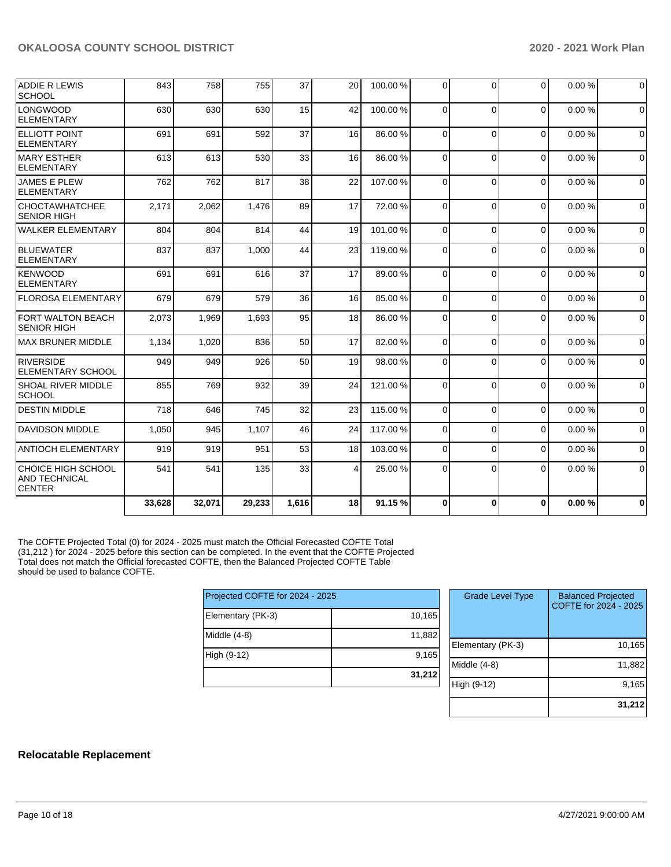| <b>ADDIE R LEWIS</b><br><b>SCHOOL</b>                       | 843    | 758    | 755    | 37    | 20             | 100.00%  | $\Omega$ | $\Omega$ | 0        | 0.00% | $\mathbf 0$ |
|-------------------------------------------------------------|--------|--------|--------|-------|----------------|----------|----------|----------|----------|-------|-------------|
| <b>LONGWOOD</b><br><b>ELEMENTARY</b>                        | 630    | 630    | 630    | 15    | 42             | 100.00%  | $\Omega$ | $\Omega$ | $\Omega$ | 0.00% | $\Omega$    |
| <b>ELLIOTT POINT</b><br><b>ELEMENTARY</b>                   | 691    | 691    | 592    | 37    | 16             | 86.00%   | $\Omega$ | $\Omega$ | $\Omega$ | 0.00% | $\mathbf 0$ |
| <b>MARY ESTHER</b><br>ELEMENTARY                            | 613    | 613    | 530    | 33    | 16             | 86.00 %  | $\Omega$ | $\Omega$ | $\Omega$ | 0.00% | $\mathbf 0$ |
| <b>JAMES E PLEW</b><br>ELEMENTARY                           | 762    | 762    | 817    | 38    | 22             | 107.00%  | $\Omega$ | $\Omega$ | $\Omega$ | 0.00% | $\mathbf 0$ |
| <b>CHOCTAWHATCHEE</b><br><b>SENIOR HIGH</b>                 | 2,171  | 2,062  | 1,476  | 89    | 17             | 72.00 %  | $\Omega$ | $\Omega$ | $\Omega$ | 0.00% | $\Omega$    |
| <b>WALKER ELEMENTARY</b>                                    | 804    | 804    | 814    | 44    | 19             | 101.00%  | $\Omega$ | $\Omega$ | $\Omega$ | 0.00% | $\mathbf 0$ |
| BLUEWATER<br><b>ELEMENTARY</b>                              | 837    | 837    | 1,000  | 44    | 23             | 119.00%  | $\Omega$ | $\Omega$ | $\Omega$ | 0.00% | $\mathbf 0$ |
| KENWOOD<br>ELEMENTARY                                       | 691    | 691    | 616    | 37    | 17             | 89.00 %  | $\Omega$ | $\Omega$ | $\Omega$ | 0.00% | $\mathbf 0$ |
| <b>FLOROSA ELEMENTARY</b>                                   | 679    | 679    | 579    | 36    | 16             | 85.00 %  | $\Omega$ | $\Omega$ | $\Omega$ | 0.00% | $\mathbf 0$ |
| <b>FORT WALTON BEACH</b><br><b>SENIOR HIGH</b>              | 2,073  | 1,969  | 1,693  | 95    | 18             | 86.00 %  | $\Omega$ | $\Omega$ | $\Omega$ | 0.00% | 0           |
| <b>MAX BRUNER MIDDLE</b>                                    | 1,134  | 1,020  | 836    | 50    | 17             | 82.00 %  | $\Omega$ | $\Omega$ | $\Omega$ | 0.00% | $\mathbf 0$ |
| RIVERSIDE<br><b>ELEMENTARY SCHOOL</b>                       | 949    | 949    | 926    | 50    | 19             | 98.00 %  | $\Omega$ | $\Omega$ | $\Omega$ | 0.00% | $\mathbf 0$ |
| <b>SHOAL RIVER MIDDLE</b><br><b>SCHOOL</b>                  | 855    | 769    | 932    | 39    | 24             | 121.00%  | $\Omega$ | $\Omega$ | $\Omega$ | 0.00% | $\Omega$    |
| <b>DESTIN MIDDLE</b>                                        | 718    | 646    | 745    | 32    | 23             | 115.00 % | $\Omega$ | $\Omega$ | $\Omega$ | 0.00% | $\Omega$    |
| <b>DAVIDSON MIDDLE</b>                                      | 1,050  | 945    | 1,107  | 46    | 24             | 117.00%  | $\Omega$ | $\Omega$ | $\Omega$ | 0.00% | $\mathbf 0$ |
| <b>ANTIOCH ELEMENTARY</b>                                   | 919    | 919    | 951    | 53    | 18             | 103.00 % | $\Omega$ | $\Omega$ | $\Omega$ | 0.00% | $\mathbf 0$ |
| CHOICE HIGH SCHOOL<br><b>AND TECHNICAL</b><br><b>CENTER</b> | 541    | 541    | 135    | 33    | $\overline{4}$ | 25.00 %  | $\Omega$ | $\Omega$ | $\Omega$ | 0.00% | 0           |
|                                                             | 33,628 | 32,071 | 29,233 | 1,616 | 18             | 91.15%   | $\bf{0}$ | $\Omega$ | $\Omega$ | 0.00% | $\bf{0}$    |

The COFTE Projected Total (0) for 2024 - 2025 must match the Official Forecasted COFTE Total (31,212 ) for 2024 - 2025 before this section can be completed. In the event that the COFTE Projected Total does not match the Official forecasted COFTE, then the Balanced Projected COFTE Table should be used to balance COFTE.

| Projected COFTE for 2024 - 2025 |        |
|---------------------------------|--------|
| Elementary (PK-3)               | 10,165 |
| Middle (4-8)                    | 11,882 |
| High (9-12)                     | 9,165  |
|                                 | 31,212 |

| <b>Grade Level Type</b> | <b>Balanced Projected</b><br>COFTE for 2024 - 2025 |
|-------------------------|----------------------------------------------------|
| Elementary (PK-3)       | 10,165                                             |
| Middle (4-8)            | 11,882                                             |
| High (9-12)             | 9,165                                              |
|                         | 31,212                                             |

# **Relocatable Replacement**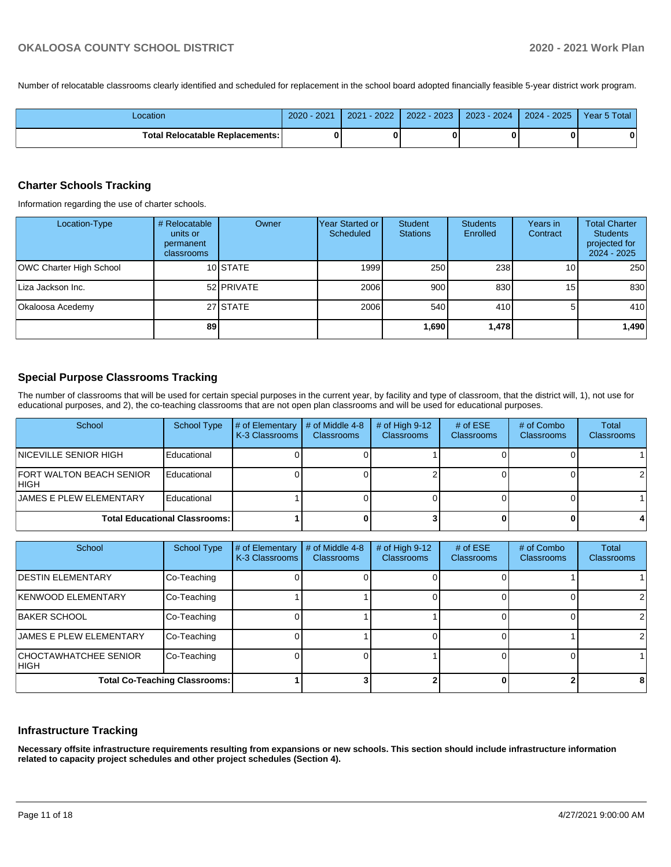Number of relocatable classrooms clearly identified and scheduled for replacement in the school board adopted financially feasible 5-year district work program.

| Location                                 | 2020 - 2021 | $-2022/$<br>2021 | $2022 - 2023$ | $2023 - 2024$ | $2024 - 2025$ | Year 5 Total |
|------------------------------------------|-------------|------------------|---------------|---------------|---------------|--------------|
| <b>Total Relocatable Replacements: I</b> |             |                  |               |               |               | 0            |

# **Charter Schools Tracking**

Information regarding the use of charter schools.

| Location-Type           | # Relocatable<br>units or<br>permanent<br>classrooms | Owner      | Year Started or<br>Scheduled | Student<br><b>Stations</b> | <b>Students</b><br>Enrolled | Years in<br>Contract | <b>Total Charter</b><br><b>Students</b><br>projected for<br>2024 - 2025 |
|-------------------------|------------------------------------------------------|------------|------------------------------|----------------------------|-----------------------------|----------------------|-------------------------------------------------------------------------|
| OWC Charter High School |                                                      | 10 STATE   | 1999                         | 250                        | 238                         | 10 <sup>1</sup>      | 250                                                                     |
| Liza Jackson Inc.       |                                                      | 52 PRIVATE | 2006                         | 900                        | 830                         | 15                   | 830                                                                     |
| Okaloosa Acedemy        |                                                      | 27 STATE   | 2006                         | 540                        | 410 <b>I</b>                |                      | 410                                                                     |
|                         | 89                                                   |            |                              | 1,690                      | 1,478                       |                      | 1,490                                                                   |

# **Special Purpose Classrooms Tracking**

The number of classrooms that will be used for certain special purposes in the current year, by facility and type of classroom, that the district will, 1), not use for educational purposes, and 2), the co-teaching classrooms that are not open plan classrooms and will be used for educational purposes.

| School                                   | School Type | # of Elementary<br>K-3 Classrooms | # of Middle 4-8<br><b>Classrooms</b> | # of High $9-12$<br><b>Classrooms</b> | # of $ESE$<br><b>Classrooms</b> | # of Combo<br><b>Classrooms</b> | Total<br>Classrooms |
|------------------------------------------|-------------|-----------------------------------|--------------------------------------|---------------------------------------|---------------------------------|---------------------------------|---------------------|
| <b>INICEVILLE SENIOR HIGH</b>            | Educational |                                   |                                      |                                       |                                 |                                 |                     |
| <b>FORT WALTON BEACH SENIOR</b><br>IHIGH | Educational |                                   |                                      |                                       |                                 |                                 | 21                  |
| <b>JAMES E PLEW ELEMENTARY</b>           | Educational |                                   |                                      |                                       |                                 |                                 |                     |
| <b>Total Educational Classrooms:</b>     |             |                                   |                                      |                                       |                                 |                                 |                     |

| School                               | <b>School Type</b> | # of Elementary<br>K-3 Classrooms | # of Middle 4-8<br><b>Classrooms</b> | $#$ of High 9-12<br><b>Classrooms</b> | # of $ESE$<br><b>Classrooms</b> | # of Combo<br><b>Classrooms</b> | Total<br>Classrooms |
|--------------------------------------|--------------------|-----------------------------------|--------------------------------------|---------------------------------------|---------------------------------|---------------------------------|---------------------|
| <b>IDESTIN ELEMENTARY</b>            | Co-Teaching        |                                   |                                      |                                       |                                 |                                 |                     |
| <b>KENWOOD ELEMENTARY</b>            | Co-Teaching        |                                   |                                      |                                       |                                 |                                 |                     |
| <b>BAKER SCHOOL</b>                  | Co-Teaching        |                                   |                                      |                                       |                                 |                                 |                     |
| <b>JAMES E PLEW ELEMENTARY</b>       | Co-Teaching        |                                   |                                      |                                       |                                 |                                 |                     |
| CHOCTAWHATCHEE SENIOR<br> HIGH       | Co-Teaching        |                                   |                                      |                                       |                                 |                                 |                     |
| <b>Total Co-Teaching Classrooms:</b> |                    |                                   |                                      |                                       |                                 |                                 |                     |

### **Infrastructure Tracking**

**Necessary offsite infrastructure requirements resulting from expansions or new schools. This section should include infrastructure information related to capacity project schedules and other project schedules (Section 4).**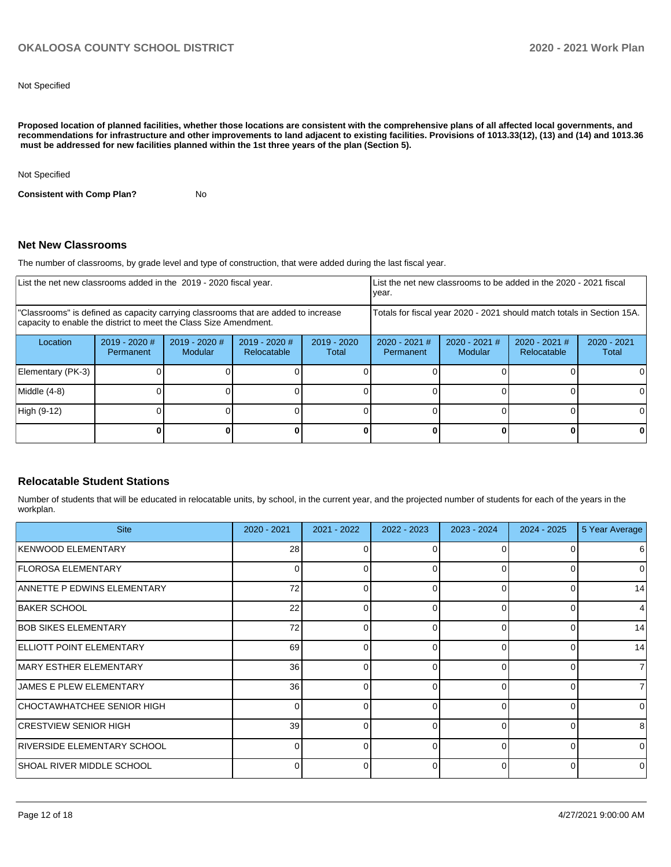Not Specified

**Proposed location of planned facilities, whether those locations are consistent with the comprehensive plans of all affected local governments, and recommendations for infrastructure and other improvements to land adjacent to existing facilities. Provisions of 1013.33(12), (13) and (14) and 1013.36 must be addressed for new facilities planned within the 1st three years of the plan (Section 5).** 

Not Specified

**Consistent with Comp Plan?** No

#### **Net New Classrooms**

The number of classrooms, by grade level and type of construction, that were added during the last fiscal year.

| List the net new classrooms added in the 2019 - 2020 fiscal year.                                                                                       |                              |                            |                                |                        | List the net new classrooms to be added in the 2020 - 2021 fiscal<br>year. |                            |                                |                        |
|---------------------------------------------------------------------------------------------------------------------------------------------------------|------------------------------|----------------------------|--------------------------------|------------------------|----------------------------------------------------------------------------|----------------------------|--------------------------------|------------------------|
| "Classrooms" is defined as capacity carrying classrooms that are added to increase<br>capacity to enable the district to meet the Class Size Amendment. |                              |                            |                                |                        | Totals for fiscal year 2020 - 2021 should match totals in Section 15A.     |                            |                                |                        |
| Location                                                                                                                                                | $2019 - 2020$ #<br>Permanent | $2019 - 2020$ #<br>Modular | $2019 - 2020$ #<br>Relocatable | $2019 - 2020$<br>Total | $2020 - 2021$ #<br>Permanent                                               | $2020 - 2021$ #<br>Modular | $2020 - 2021$ #<br>Relocatable | $2020 - 2021$<br>Total |
| Elementary (PK-3)                                                                                                                                       |                              |                            |                                |                        |                                                                            |                            |                                |                        |
| Middle (4-8)                                                                                                                                            |                              |                            |                                |                        |                                                                            |                            |                                |                        |
| High (9-12)                                                                                                                                             |                              |                            |                                |                        |                                                                            |                            |                                |                        |
|                                                                                                                                                         |                              |                            |                                | 0                      |                                                                            |                            |                                |                        |

### **Relocatable Student Stations**

Number of students that will be educated in relocatable units, by school, in the current year, and the projected number of students for each of the years in the workplan.

| <b>Site</b>                       | $2020 - 2021$ | 2021 - 2022 | $2022 - 2023$ | $2023 - 2024$ | $2024 - 2025$ | 5 Year Average |
|-----------------------------------|---------------|-------------|---------------|---------------|---------------|----------------|
| KENWOOD ELEMENTARY                | 28            |             | 0             | 0             |               | 6              |
| <b>FLOROSA ELEMENTARY</b>         |               |             |               | 0             |               | 0              |
| ANNETTE P EDWINS ELEMENTARY       | 72            | $\Omega$    | 0             | $\Omega$      | 0             | 14             |
| <b>BAKER SCHOOL</b>               | 22            | O           |               | $\Omega$      | 0             | 4              |
| <b>BOB SIKES ELEMENTARY</b>       | 72            | O           |               | $\Omega$      | U             | 14             |
| <b>ELLIOTT POINT ELEMENTARY</b>   | 69            | $\Omega$    | $\Omega$      | $\Omega$      | 0             | 14             |
| MARY ESTHER ELEMENTARY            | 36            | U           | O             | $\Omega$      | 0             | $\overline{7}$ |
| <b>JAMES E PLEW ELEMENTARY</b>    | 36            | 0           | 0             | $\Omega$      | 0             | 71             |
| CHOCTAWHATCHEE SENIOR HIGH        |               | 0           | 0             | $\Omega$      | 0             | $\Omega$       |
| <b>CRESTVIEW SENIOR HIGH</b>      | 39            | $\Omega$    | 0             | $\Omega$      | 0             | 8              |
| RIVERSIDE ELEMENTARY SCHOOL       |               |             |               | $\Omega$      | 0             | $\Omega$       |
| <b>ISHOAL RIVER MIDDLE SCHOOL</b> |               |             |               | $\Omega$      |               | $\Omega$       |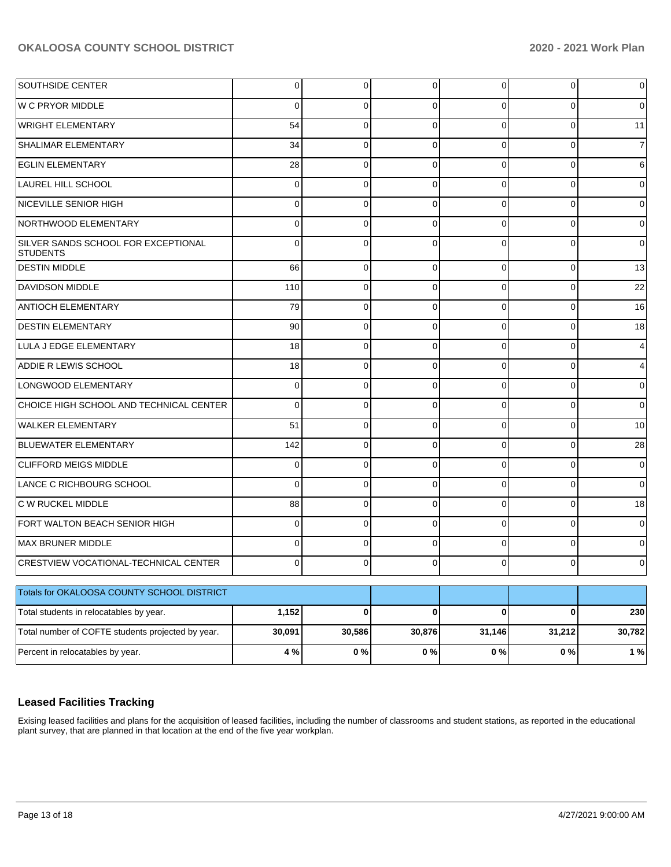| SOUTHSIDE CENTER                                       | $\overline{0}$ | $\overline{0}$ | 0        | $\overline{0}$ | $\overline{0}$ | $\overline{0}$ |
|--------------------------------------------------------|----------------|----------------|----------|----------------|----------------|----------------|
| <b>W C PRYOR MIDDLE</b>                                | 0              | 0              | 0        | 0              | $\Omega$       | $\overline{0}$ |
| <b>WRIGHT ELEMENTARY</b>                               | 54             | 0              | $\Omega$ | $\Omega$       | $\Omega$       | 11             |
| SHALIMAR ELEMENTARY                                    | 34             | 0              | $\Omega$ | $\Omega$       | $\Omega$       | 7              |
| <b>EGLIN ELEMENTARY</b>                                | 28             | 0              | $\Omega$ | $\Omega$       | $\Omega$       | 6              |
| LAUREL HILL SCHOOL                                     | $\mathbf 0$    | 0              | $\Omega$ | 0              | $\Omega$       | $\overline{0}$ |
| NICEVILLE SENIOR HIGH                                  | $\mathbf 0$    | 0              | $\Omega$ | 0              | $\Omega$       | $\overline{0}$ |
| NORTHWOOD ELEMENTARY                                   | $\mathbf 0$    | 0              | $\Omega$ | $\Omega$       | $\Omega$       | $\overline{0}$ |
| SILVER SANDS SCHOOL FOR EXCEPTIONAL<br><b>STUDENTS</b> | $\Omega$       | $\Omega$       | $\Omega$ | 0              | $\Omega$       | $\overline{0}$ |
| <b>DESTIN MIDDLE</b>                                   | 66             | $\overline{0}$ | $\Omega$ | $\Omega$       | $\Omega$       | 13             |
| <b>DAVIDSON MIDDLE</b>                                 | 110            | $\overline{0}$ | $\Omega$ | $\Omega$       | $\Omega$       | 22             |
| <b>ANTIOCH ELEMENTARY</b>                              | 79             | $\overline{0}$ | $\Omega$ | $\Omega$       | $\Omega$       | 16             |
| <b>DESTIN ELEMENTARY</b>                               | 90             | $\mathbf 0$    | $\Omega$ | $\Omega$       | $\Omega$       | 18             |
| LULA J EDGE ELEMENTARY                                 | 18             | $\overline{0}$ | $\Omega$ | $\Omega$       | $\Omega$       | 4              |
| ADDIE R LEWIS SCHOOL                                   | 18             | $\mathbf 0$    | $\Omega$ | $\Omega$       | $\Omega$       | 4              |
| LONGWOOD ELEMENTARY                                    | $\mathbf 0$    | $\overline{0}$ | $\Omega$ | $\Omega$       | $\Omega$       | 0              |
| CHOICE HIGH SCHOOL AND TECHNICAL CENTER                | $\mathbf 0$    | $\overline{0}$ | $\Omega$ | $\Omega$       | $\Omega$       | 0              |
| <b>WALKER ELEMENTARY</b>                               | 51             | $\overline{0}$ | $\Omega$ | $\Omega$       | $\Omega$       | 10             |
| BLUEWATER ELEMENTARY                                   | 142            | $\mathbf 0$    | $\Omega$ | $\Omega$       | $\Omega$       | 28             |
| <b>CLIFFORD MEIGS MIDDLE</b>                           | 0              | $\overline{0}$ | $\Omega$ | $\Omega$       | $\Omega$       | $\mathbf 0$    |
| LANCE C RICHBOURG SCHOOL                               | $\mathbf 0$    | $\overline{0}$ | $\Omega$ | $\Omega$       | $\Omega$       | $\mathbf 0$    |
| C W RUCKEL MIDDLE                                      | 88             | $\overline{0}$ | $\Omega$ | $\Omega$       | $\Omega$       | 18             |
| FORT WALTON BEACH SENIOR HIGH                          | $\mathbf 0$    | $\overline{0}$ | $\Omega$ | $\Omega$       | $\mathbf 0$    | 0              |
| MAX BRUNER MIDDLE                                      | $\mathbf 0$    | $\overline{0}$ | $\Omega$ | $\Omega$       | $\Omega$       | $\Omega$       |
| <b>CRESTVIEW VOCATIONAL-TECHNICAL CENTER</b>           | 0              | $\overline{0}$ | 0        | $\overline{0}$ | 0              | 0              |
| Totals for OKALOOSA COUNTY SCHOOL DISTRICT             |                |                |          |                |                |                |
| Total students in relocatables by year.                | 1,152          | $\mathbf{0}$   | 0        | $\mathbf{0}$   | $\bf{0}$       | 230            |
| Total number of COFTE students projected by year.      | 30,091         | 30,586         | 30,876   | 31,146         | 31,212         | 30,782         |
| Percent in relocatables by year.                       | 4 %            | 0%             | 0%       | 0%             | 0%             | 1%             |

# **Leased Facilities Tracking**

Exising leased facilities and plans for the acquisition of leased facilities, including the number of classrooms and student stations, as reported in the educational plant survey, that are planned in that location at the end of the five year workplan.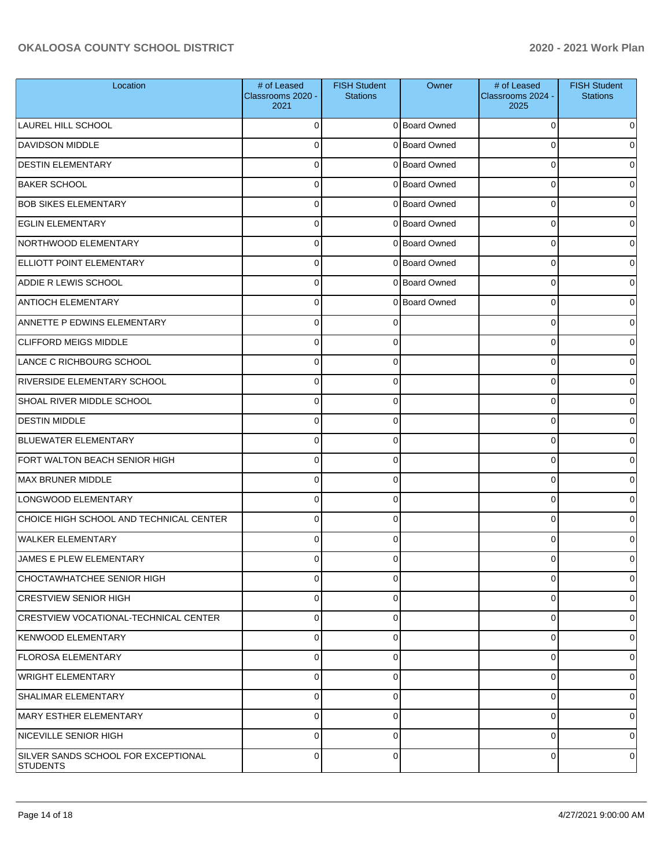| Location                                        | # of Leased<br>Classrooms 2020 -<br>2021 | <b>FISH Student</b><br><b>Stations</b> | Owner         | # of Leased<br>Classrooms 2024 -<br>2025 | <b>FISH Student</b><br><b>Stations</b> |
|-------------------------------------------------|------------------------------------------|----------------------------------------|---------------|------------------------------------------|----------------------------------------|
| LAUREL HILL SCHOOL                              | $\Omega$                                 |                                        | 0 Board Owned | 0                                        | o                                      |
| <b>DAVIDSON MIDDLE</b>                          | $\mathbf 0$                              |                                        | 0 Board Owned | 0                                        |                                        |
| <b>DESTIN ELEMENTARY</b>                        | $\mathbf 0$                              |                                        | 0 Board Owned | 0                                        |                                        |
| <b>BAKER SCHOOL</b>                             | $\mathbf 0$                              |                                        | 0 Board Owned | 0                                        | o                                      |
| <b>BOB SIKES ELEMENTARY</b>                     | $\mathbf 0$                              |                                        | 0 Board Owned | 0                                        |                                        |
| <b>EGLIN ELEMENTARY</b>                         | $\mathbf 0$                              |                                        | 0 Board Owned | 0                                        |                                        |
| NORTHWOOD ELEMENTARY                            | $\mathbf 0$                              |                                        | 0 Board Owned | 0                                        |                                        |
| <b>ELLIOTT POINT ELEMENTARY</b>                 | $\mathbf 0$                              |                                        | 0 Board Owned | 0                                        | o                                      |
| <b>ADDIE R LEWIS SCHOOL</b>                     | $\mathbf 0$                              |                                        | 0 Board Owned | 0                                        |                                        |
| <b>ANTIOCH ELEMENTARY</b>                       | $\mathbf 0$                              |                                        | 0 Board Owned | 0                                        |                                        |
| ANNETTE P EDWINS ELEMENTARY                     | $\mathbf 0$                              | ∩                                      |               | 0                                        |                                        |
| <b>CLIFFORD MEIGS MIDDLE</b>                    | $\mathbf 0$                              | 0                                      |               | 0                                        | o                                      |
| LANCE C RICHBOURG SCHOOL                        | $\mathbf 0$                              | 0                                      |               | 0                                        |                                        |
| <b>RIVERSIDE ELEMENTARY SCHOOL</b>              | $\mathbf 0$                              | 0                                      |               | 0                                        | o                                      |
| SHOAL RIVER MIDDLE SCHOOL                       | $\mathbf 0$                              | 0                                      |               | 0                                        |                                        |
| <b>DESTIN MIDDLE</b>                            | $\mathbf 0$                              | $\Omega$                               |               | 0                                        | o                                      |
| <b>BLUEWATER ELEMENTARY</b>                     | $\mathbf 0$                              | 0                                      |               | 0                                        |                                        |
| FORT WALTON BEACH SENIOR HIGH                   | $\mathbf 0$                              | $\Omega$                               |               | 0                                        | o                                      |
| MAX BRUNER MIDDLE                               | $\Omega$                                 | 0                                      |               | 0                                        |                                        |
| LONGWOOD ELEMENTARY                             | $\mathbf 0$                              | 0                                      |               | 0                                        | o                                      |
| CHOICE HIGH SCHOOL AND TECHNICAL CENTER         | $\mathbf 0$                              | 0                                      |               | 0                                        |                                        |
| <b>WALKER ELEMENTARY</b>                        | $\Omega$                                 | 0                                      |               | 0                                        |                                        |
| <b>JAMES E PLEW ELEMENTARY</b>                  | 0                                        | 0                                      |               | 0                                        |                                        |
| CHOCTAWHATCHEE SENIOR HIGH                      | $\mathbf 0$                              | 0                                      |               | 0                                        | 0                                      |
| <b>CRESTVIEW SENIOR HIGH</b>                    | $\mathbf 0$                              | 0                                      |               | 0                                        | 0                                      |
| <b>CRESTVIEW VOCATIONAL-TECHNICAL CENTER</b>    | $\mathbf 0$                              | 0                                      |               | 0                                        | 0                                      |
| <b>KENWOOD ELEMENTARY</b>                       | $\mathbf 0$                              | $\Omega$                               |               | 0                                        | 0                                      |
| <b>FLOROSA ELEMENTARY</b>                       | $\mathbf 0$                              | 0                                      |               | 0                                        | 0                                      |
| <b>WRIGHT ELEMENTARY</b>                        | $\mathbf 0$                              | 0                                      |               | 0                                        | 0                                      |
| <b>SHALIMAR ELEMENTARY</b>                      | $\mathbf 0$                              | 0                                      |               | 0                                        | 0                                      |
| MARY ESTHER ELEMENTARY                          | $\mathbf 0$                              | 0                                      |               | 0                                        | 0                                      |
| NICEVILLE SENIOR HIGH                           | $\mathbf 0$                              | 0                                      |               | 0                                        | 0                                      |
| SILVER SANDS SCHOOL FOR EXCEPTIONAL<br>STUDENTS | $\mathbf 0$                              | 0                                      |               | 0                                        | 0                                      |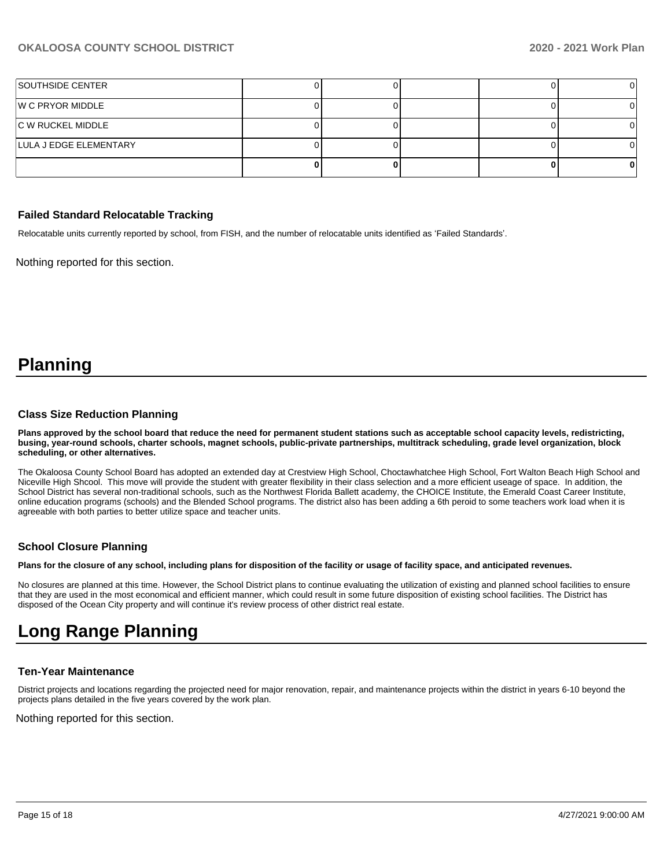| <b>SOUTHSIDE CENTER</b>  |  |  |  |
|--------------------------|--|--|--|
| W C PRYOR MIDDLE         |  |  |  |
| <b>C W RUCKEL MIDDLE</b> |  |  |  |
| LULA J EDGE ELEMENTARY   |  |  |  |
|                          |  |  |  |

#### **Failed Standard Relocatable Tracking**

Relocatable units currently reported by school, from FISH, and the number of relocatable units identified as 'Failed Standards'.

Nothing reported for this section.

# **Planning**

#### **Class Size Reduction Planning**

**Plans approved by the school board that reduce the need for permanent student stations such as acceptable school capacity levels, redistricting, busing, year-round schools, charter schools, magnet schools, public-private partnerships, multitrack scheduling, grade level organization, block scheduling, or other alternatives.**

The Okaloosa County School Board has adopted an extended day at Crestview High School, Choctawhatchee High School, Fort Walton Beach High School and Niceville High Shcool. This move will provide the student with greater flexibility in their class selection and a more efficient useage of space. In addition, the School District has several non-traditional schools, such as the Northwest Florida Ballett academy, the CHOICE Institute, the Emerald Coast Career Institute, online education programs (schools) and the Blended School programs. The district also has been adding a 6th peroid to some teachers work load when it is agreeable with both parties to better utilize space and teacher units.

### **School Closure Planning**

**Plans for the closure of any school, including plans for disposition of the facility or usage of facility space, and anticipated revenues.** 

No closures are planned at this time. However, the School District plans to continue evaluating the utilization of existing and planned school facilities to ensure that they are used in the most economical and efficient manner, which could result in some future disposition of existing school facilities. The District has disposed of the Ocean City property and will continue it's review process of other district real estate.

# **Long Range Planning**

### **Ten-Year Maintenance**

District projects and locations regarding the projected need for major renovation, repair, and maintenance projects within the district in years 6-10 beyond the projects plans detailed in the five years covered by the work plan.

Nothing reported for this section.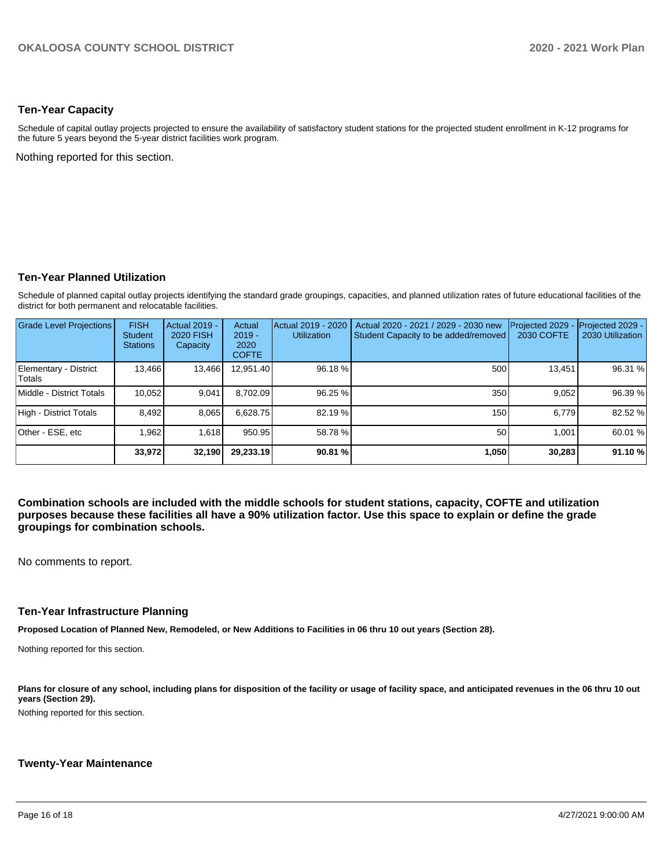#### **Ten-Year Capacity**

Schedule of capital outlay projects projected to ensure the availability of satisfactory student stations for the projected student enrollment in K-12 programs for the future 5 years beyond the 5-year district facilities work program.

Nothing reported for this section.

# **Ten-Year Planned Utilization**

Schedule of planned capital outlay projects identifying the standard grade groupings, capacities, and planned utilization rates of future educational facilities of the district for both permanent and relocatable facilities.

| <b>Grade Level Projections</b>   | <b>FISH</b><br><b>Student</b><br><b>Stations</b> | <b>Actual 2019 -</b><br><b>2020 FISH</b><br>Capacity | Actual<br>$2019 -$<br>2020<br><b>COFTE</b> | Actual 2019 - 2020<br><b>Utilization</b> | Actual 2020 - 2021 / 2029 - 2030 new<br>Student Capacity to be added/removed | Projected 2029<br>2030 COFTE | Projected 2029 -<br>2030 Utilization |
|----------------------------------|--------------------------------------------------|------------------------------------------------------|--------------------------------------------|------------------------------------------|------------------------------------------------------------------------------|------------------------------|--------------------------------------|
| Elementary - District<br>lTotals | 13,466                                           | 13,466                                               | 12,951.40                                  | 96.18%                                   | 500                                                                          | 13.451                       | 96.31 %                              |
| Middle - District Totals         | 10.052                                           | 9,041                                                | 8.702.09                                   | 96.25 %                                  | 350                                                                          | 9.052                        | 96.39 %                              |
| High - District Totals           | 8.492                                            | 8,065                                                | 6,628.75                                   | 82.19 %                                  | 150                                                                          | 6.779                        | 82.52 %                              |
| Other - ESE, etc                 | .962                                             | 1.618                                                | 950.95                                     | 58.78 %                                  | 50                                                                           | 1.001                        | 60.01 %                              |
|                                  | 33,972                                           | 32,190                                               | 29.233.19                                  | 90.81 %                                  | 1,050                                                                        | 30,283                       | 91.10 %                              |

**Combination schools are included with the middle schools for student stations, capacity, COFTE and utilization purposes because these facilities all have a 90% utilization factor. Use this space to explain or define the grade groupings for combination schools.** 

No comments to report.

#### **Ten-Year Infrastructure Planning**

**Proposed Location of Planned New, Remodeled, or New Additions to Facilities in 06 thru 10 out years (Section 28).**

Nothing reported for this section.

Plans for closure of any school, including plans for disposition of the facility or usage of facility space, and anticipated revenues in the 06 thru 10 out **years (Section 29).**

Nothing reported for this section.

#### **Twenty-Year Maintenance**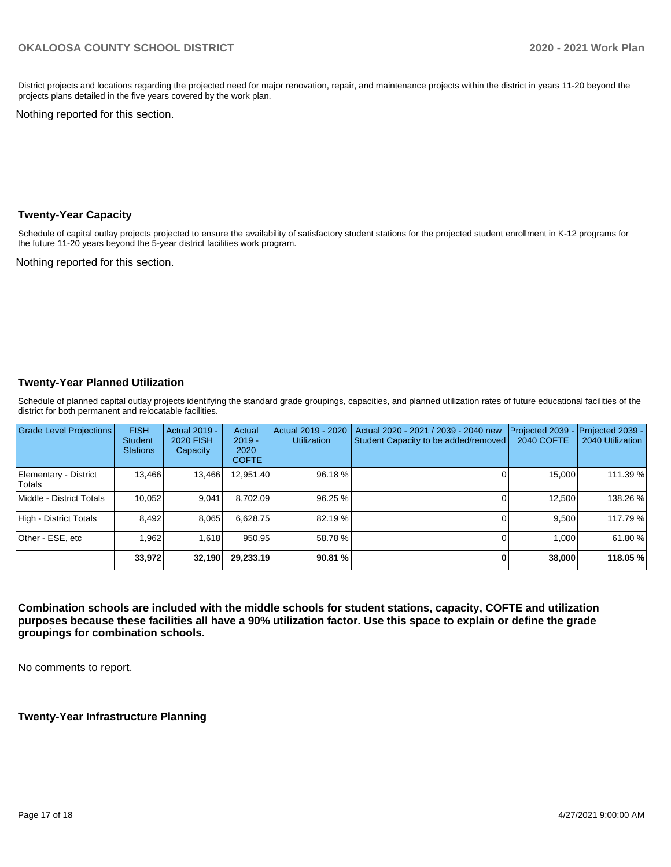District projects and locations regarding the projected need for major renovation, repair, and maintenance projects within the district in years 11-20 beyond the projects plans detailed in the five years covered by the work plan.

Nothing reported for this section.

#### **Twenty-Year Capacity**

Schedule of capital outlay projects projected to ensure the availability of satisfactory student stations for the projected student enrollment in K-12 programs for the future 11-20 years beyond the 5-year district facilities work program.

Nothing reported for this section.

# **Twenty-Year Planned Utilization**

Schedule of planned capital outlay projects identifying the standard grade groupings, capacities, and planned utilization rates of future educational facilities of the district for both permanent and relocatable facilities.

| Grade Level Projections         | <b>FISH</b><br><b>Student</b><br><b>Stations</b> | Actual 2019 -<br><b>2020 FISH</b><br>Capacity | Actual<br>$2019 -$<br>2020<br><b>COFTE</b> | Actual 2019 - 2020<br><b>Utilization</b> | Actual 2020 - 2021 / 2039 - 2040 new<br>Student Capacity to be added/removed | Projected 2039<br>2040 COFTE | Projected 2039 -<br>2040 Utilization |
|---------------------------------|--------------------------------------------------|-----------------------------------------------|--------------------------------------------|------------------------------------------|------------------------------------------------------------------------------|------------------------------|--------------------------------------|
| Elementary - District<br>Totals | 13,466                                           | 13,466                                        | 12,951.40                                  | 96.18%                                   |                                                                              | 15,000                       | 111.39 %                             |
| Middle - District Totals        | 10.052                                           | 9.041                                         | 8.702.09                                   | 96.25 %                                  |                                                                              | 12.500                       | 138.26 %                             |
| High - District Totals          | 8.492                                            | 8,065                                         | 6.628.75                                   | 82.19 %                                  |                                                                              | 9.500                        | 117.79 %                             |
| Other - ESE, etc                | 1.962                                            | 1.618                                         | 950.95                                     | 58.78 %                                  |                                                                              | 1.000                        | 61.80%                               |
|                                 | 33,972                                           | 32,190                                        | 29,233.19                                  | 90.81 %                                  |                                                                              | 38,000                       | 118.05%                              |

**Combination schools are included with the middle schools for student stations, capacity, COFTE and utilization purposes because these facilities all have a 90% utilization factor. Use this space to explain or define the grade groupings for combination schools.** 

No comments to report.

**Twenty-Year Infrastructure Planning**